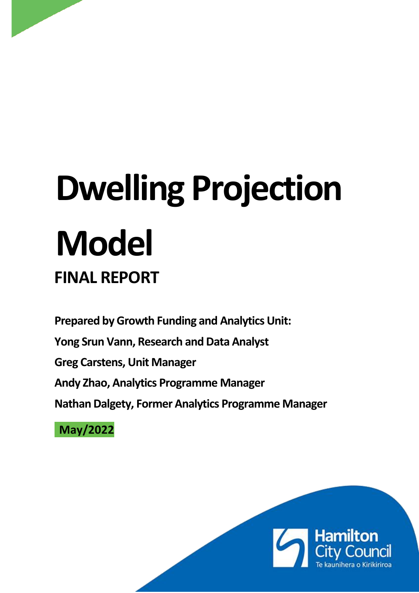# **Dwelling Projection Model FINAL REPORT**

**Prepared by Growth Funding and Analytics Unit:** 

**Yong Srun Vann, Research and Data Analyst**

**Greg Carstens, Unit Manager**

**Andy Zhao, Analytics Programme Manager**

**Nathan Dalgety, Former Analytics Programme Manager**

**May/2022**

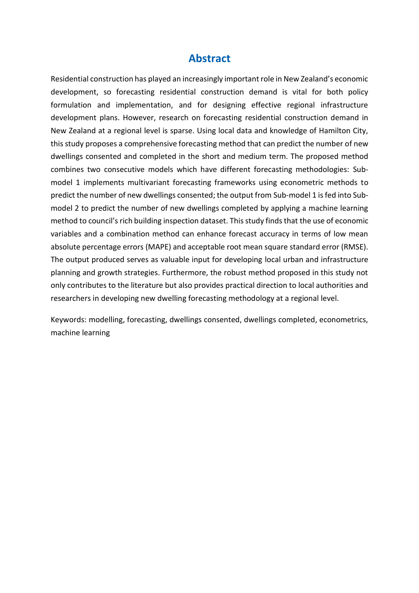# **Abstract**

Residential construction has played an increasingly important role in New Zealand's economic development, so forecasting residential construction demand is vital for both policy formulation and implementation, and for designing effective regional infrastructure development plans. However, research on forecasting residential construction demand in New Zealand at a regional level is sparse. Using local data and knowledge of Hamilton City, this study proposes a comprehensive forecasting method that can predict the number of new dwellings consented and completed in the short and medium term. The proposed method combines two consecutive models which have different forecasting methodologies: Submodel 1 implements multivariant forecasting frameworks using econometric methods to predict the number of new dwellings consented; the output from Sub-model 1 is fed into Submodel 2 to predict the number of new dwellings completed by applying a machine learning method to council's rich building inspection dataset. This study finds that the use of economic variables and a combination method can enhance forecast accuracy in terms of low mean absolute percentage errors (MAPE) and acceptable root mean square standard error (RMSE). The output produced serves as valuable input for developing local urban and infrastructure planning and growth strategies. Furthermore, the robust method proposed in this study not only contributes to the literature but also provides practical direction to local authorities and researchers in developing new dwelling forecasting methodology at a regional level.

Keywords: modelling, forecasting, dwellings consented, dwellings completed, econometrics, machine learning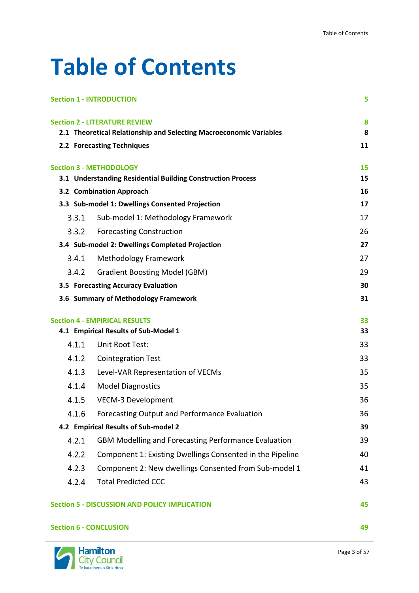# **Table of Contents**

|                               | <b>Section 1 - INTRODUCTION</b>                                              | 5        |
|-------------------------------|------------------------------------------------------------------------------|----------|
|                               | <b>Section 2 - LITERATURE REVIEW</b>                                         | 8        |
|                               | 2.1 Theoretical Relationship and Selecting Macroeconomic Variables           | 8        |
|                               | 2.2 Forecasting Techniques                                                   | 11       |
|                               | <b>Section 3 - METHODOLOGY</b>                                               | 15       |
|                               | 3.1 Understanding Residential Building Construction Process                  | 15       |
|                               | 3.2 Combination Approach                                                     | 16       |
|                               | 3.3 Sub-model 1: Dwellings Consented Projection                              | 17       |
| 3.3.1                         | Sub-model 1: Methodology Framework                                           | 17       |
| 3.3.2                         | <b>Forecasting Construction</b>                                              | 26       |
|                               | 3.4 Sub-model 2: Dwellings Completed Projection                              | 27       |
| 3.4.1                         | <b>Methodology Framework</b>                                                 | 27       |
| 3.4.2                         | <b>Gradient Boosting Model (GBM)</b>                                         | 29       |
|                               | 3.5 Forecasting Accuracy Evaluation                                          | 30       |
|                               | 3.6 Summary of Methodology Framework                                         | 31       |
|                               | <b>Section 4 - EMPIRICAL RESULTS</b><br>4.1 Empirical Results of Sub-Model 1 | 33<br>33 |
| 4.1.1                         | Unit Root Test:                                                              | 33       |
| 4.1.2                         | <b>Cointegration Test</b>                                                    | 33       |
| 4.1.3                         | Level-VAR Representation of VECMs                                            | 35       |
| 4.1.4                         | <b>Model Diagnostics</b>                                                     | 35       |
| 4.1.5                         | <b>VECM-3 Development</b>                                                    | 36       |
| 4.1.6                         | Forecasting Output and Performance Evaluation                                | 36       |
|                               | 4.2 Empirical Results of Sub-model 2                                         | 39       |
| 4.2.1                         | <b>GBM Modelling and Forecasting Performance Evaluation</b>                  | 39       |
| 4.2.2                         | Component 1: Existing Dwellings Consented in the Pipeline                    | 40       |
| 4.2.3                         | Component 2: New dwellings Consented from Sub-model 1                        | 41       |
| 4.2.4                         | <b>Total Predicted CCC</b>                                                   | 43       |
|                               | <b>Section 5 - DISCUSSION AND POLICY IMPLICATION</b>                         | 45       |
| <b>Section 6 - CONCLUSION</b> |                                                                              | 49       |

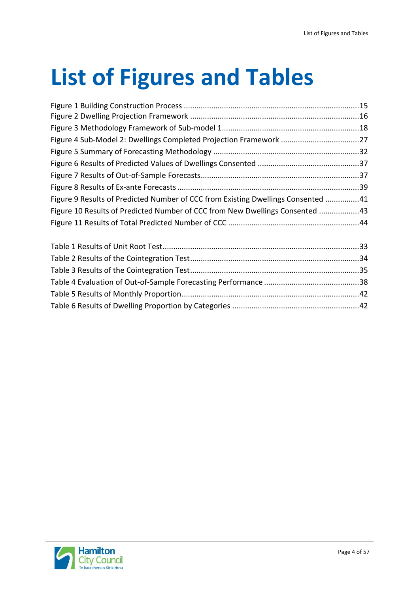# **List of Figures and Tables**

| Figure 9 Results of Predicted Number of CCC from Existing Dwellings Consented 41 |  |
|----------------------------------------------------------------------------------|--|
| Figure 10 Results of Predicted Number of CCC from New Dwellings Consented 43     |  |
|                                                                                  |  |
|                                                                                  |  |
|                                                                                  |  |
|                                                                                  |  |
|                                                                                  |  |

[Table 5 Results of Monthly Proportion....................................................................................42](#page-41-0) [Table 6 Results of Dwelling Proportion by Categories](#page-41-1) ............................................................42

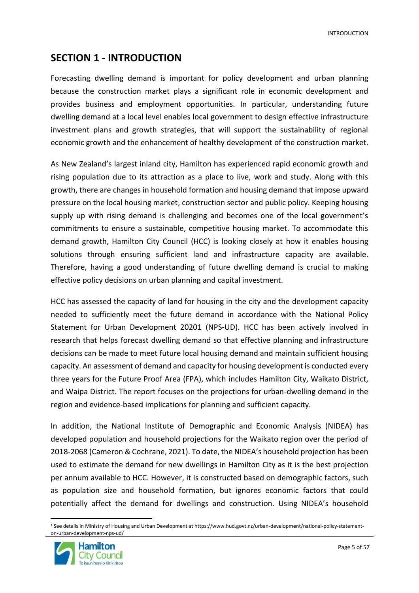INTRODUCTION

# <span id="page-4-0"></span>**SECTION 1 - INTRODUCTION**

Forecasting dwelling demand is important for policy development and urban planning because the construction market plays a significant role in economic development and provides business and employment opportunities. In particular, understanding future dwelling demand at a local level enables local government to design effective infrastructure investment plans and growth strategies, that will support the sustainability of regional economic growth and the enhancement of healthy development of the construction market.

As New Zealand's largest inland city, Hamilton has experienced rapid economic growth and rising population due to its attraction as a place to live, work and study. Along with this growth, there are changes in household formation and housing demand that impose upward pressure on the local housing market, construction sector and public policy. Keeping housing supply up with rising demand is challenging and becomes one of the local government's commitments to ensure a sustainable, competitive housing market. To accommodate this demand growth, Hamilton City Council (HCC) is looking closely at how it enables housing solutions through ensuring sufficient land and infrastructure capacity are available. Therefore, having a good understanding of future dwelling demand is crucial to making effective policy decisions on urban planning and capital investment.

HCC has assessed the capacity of land for housing in the city and the development capacity needed to sufficiently meet the future demand in accordance with the National Policy Statement for Urban Development 20201 (NPS-UD). HCC has been actively involved in research that helps forecast dwelling demand so that effective planning and infrastructure decisions can be made to meet future local housing demand and maintain sufficient housing capacity. An assessment of demand and capacity for housing development is conducted every three years for the Future Proof Area (FPA), which includes Hamilton City, Waikato District, and Waipa District. The report focuses on the projections for urban-dwelling demand in the region and evidence-based implications for planning and sufficient capacity.

In addition, the National Institute of Demographic and Economic Analysis (NIDEA) has developed population and household projections for the Waikato region over the period of 2018-2068 (Cameron & Cochrane, 2021). To date, the NIDEA's household projection has been used to estimate the demand for new dwellings in Hamilton City as it is the best projection per annum available to HCC. However, it is constructed based on demographic factors, such as population size and household formation, but ignores economic factors that could potentially affect the demand for dwellings and construction. Using NIDEA's household

<sup>1</sup> See details in Ministry of Housing and Urban Development at https://www.hud.govt.nz/urban-development/national-policy-statementon-urban-development-nps-ud/

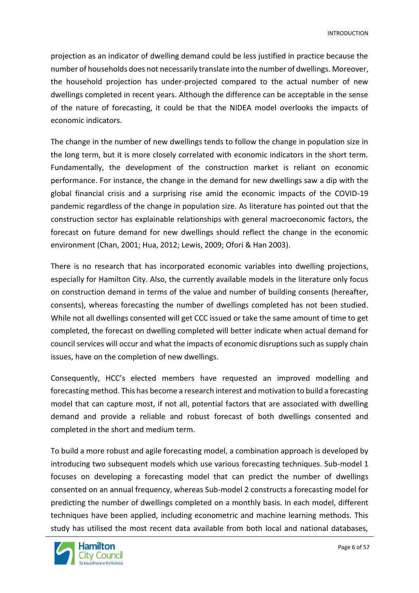projection as an indicator of dwelling demand could be less justified in practice because the number of households does not necessarily translate into the number of dwellings. Moreover, the household projection has under-projected compared to the actual number of new dwellings completed in recent years. Although the difference can be acceptable in the sense of the nature of forecasting, it could be that the NIDEA model overlooks the impacts of economic indicators.

The change in the number of new dwellings tends to follow the change in population size in the long term, but it is more closely correlated with economic indicators in the short term. Fundamentally, the development of the construction market is reliant on economic performance. For instance, the change in the demand for new dwellings saw a dip with the global financial crisis and a surprising rise amid the economic impacts of the COVID-19 pandemic regardless of the change in population size. As literature has pointed out that the construction sector has explainable relationships with general macroeconomic factors, the forecast on future demand for new dwellings should reflect the change in the economic environment (Chan, 2001; Hua, 2012; Lewis, 2009; Ofori & Han 2003).

There is no research that has incorporated economic variables into dwelling projections, especially for Hamilton City. Also, the currently available models in the literature only focus on construction demand in terms of the value and number of building consents (hereafter, consents), whereas forecasting the number of dwellings completed has not been studied. While not all dwellings consented will get CCC issued or take the same amount of time to get completed, the forecast on dwelling completed will better indicate when actual demand for council services will occur and what the impacts of economic disruptions such as supply chain issues, have on the completion of new dwellings.

Consequently, HCC's elected members have requested an improved modelling and forecasting method. This has become a research interest and motivation to build a forecasting model that can capture most, if not all, potential factors that are associated with dwelling demand and provide a reliable and robust forecast of both dwellings consented and completed in the short and medium term.

To build a more robust and agile forecasting model, a combination approach is developed by introducing two subsequent models which use various forecasting techniques. Sub-model 1 focuses on developing a forecasting model that can predict the number of dwellings consented on an annual frequency, whereas Sub-model 2 constructs a forecasting model for predicting the number of dwellings completed on a monthly basis. In each model, different techniques have been applied, including econometric and machine learning methods. This study has utilised the most recent data available from both local and national databases,

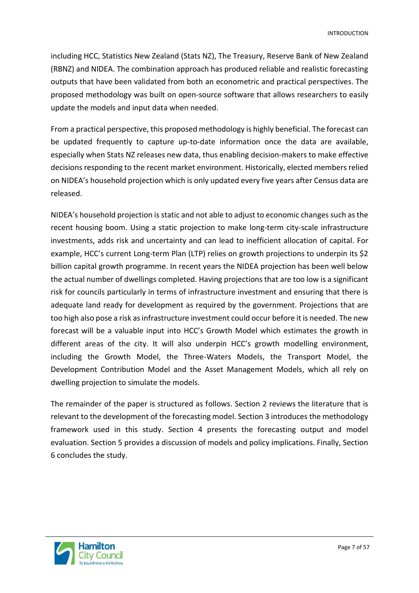including HCC, Statistics New Zealand (Stats NZ), The Treasury, Reserve Bank of New Zealand (RBNZ) and NIDEA. The combination approach has produced reliable and realistic forecasting outputs that have been validated from both an econometric and practical perspectives. The proposed methodology was built on open-source software that allows researchers to easily update the models and input data when needed.

From a practical perspective, this proposed methodology is highly beneficial. The forecast can be updated frequently to capture up-to-date information once the data are available, especially when Stats NZ releases new data, thus enabling decision-makers to make effective decisions responding to the recent market environment. Historically, elected members relied on NIDEA's household projection which is only updated every five years after Census data are released.

NIDEA's household projection is static and not able to adjust to economic changes such as the recent housing boom. Using a static projection to make long-term city-scale infrastructure investments, adds risk and uncertainty and can lead to inefficient allocation of capital. For example, HCC's current Long-term Plan (LTP) relies on growth projections to underpin its \$2 billion capital growth programme. In recent years the NIDEA projection has been well below the actual number of dwellings completed. Having projections that are too low is a significant risk for councils particularly in terms of infrastructure investment and ensuring that there is adequate land ready for development as required by the government. Projections that are too high also pose a risk as infrastructure investment could occur before it is needed. The new forecast will be a valuable input into HCC's Growth Model which estimates the growth in different areas of the city. It will also underpin HCC's growth modelling environment, including the Growth Model, the Three-Waters Models, the Transport Model, the Development Contribution Model and the Asset Management Models, which all rely on dwelling projection to simulate the models.

The remainder of the paper is structured as follows. Section 2 reviews the literature that is relevant to the development of the forecasting model. Section 3 introduces the methodology framework used in this study. Section 4 presents the forecasting output and model evaluation. Section 5 provides a discussion of models and policy implications. Finally, Section 6 concludes the study.

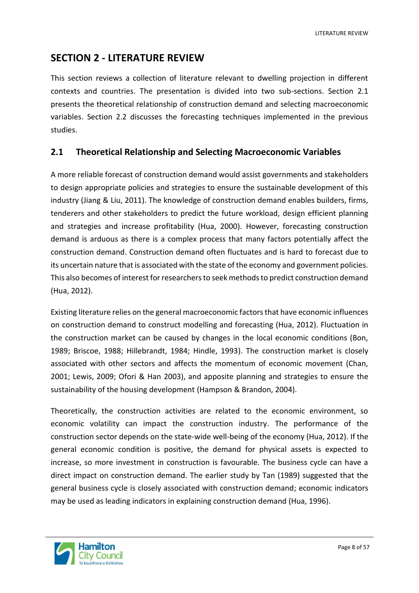LITERATURE REVIEW

# <span id="page-7-0"></span>**SECTION 2 - LITERATURE REVIEW**

This section reviews a collection of literature relevant to dwelling projection in different contexts and countries. The presentation is divided into two sub-sections. Section 2.1 presents the theoretical relationship of construction demand and selecting macroeconomic variables. Section 2.2 discusses the forecasting techniques implemented in the previous studies.

#### <span id="page-7-1"></span>**2.1 Theoretical Relationship and Selecting Macroeconomic Variables**

A more reliable forecast of construction demand would assist governments and stakeholders to design appropriate policies and strategies to ensure the sustainable development of this industry (Jiang & Liu, 2011). The knowledge of construction demand enables builders, firms, tenderers and other stakeholders to predict the future workload, design efficient planning and strategies and increase profitability (Hua, 2000). However, forecasting construction demand is arduous as there is a complex process that many factors potentially affect the construction demand. Construction demand often fluctuates and is hard to forecast due to its uncertain nature that is associated with the state of the economy and government policies. This also becomes of interest for researchers to seek methods to predict construction demand (Hua, 2012).

Existing literature relies on the general macroeconomic factors that have economic influences on construction demand to construct modelling and forecasting (Hua, 2012). Fluctuation in the construction market can be caused by changes in the local economic conditions (Bon, 1989; Briscoe, 1988; Hillebrandt, 1984; Hindle, 1993). The construction market is closely associated with other sectors and affects the momentum of economic movement (Chan, 2001; Lewis, 2009; Ofori & Han 2003), and apposite planning and strategies to ensure the sustainability of the housing development (Hampson & Brandon, 2004).

Theoretically, the construction activities are related to the economic environment, so economic volatility can impact the construction industry. The performance of the construction sector depends on the state-wide well-being of the economy (Hua, 2012). If the general economic condition is positive, the demand for physical assets is expected to increase, so more investment in construction is favourable. The business cycle can have a direct impact on construction demand. The earlier study by Tan (1989) suggested that the general business cycle is closely associated with construction demand; economic indicators may be used as leading indicators in explaining construction demand (Hua, 1996).

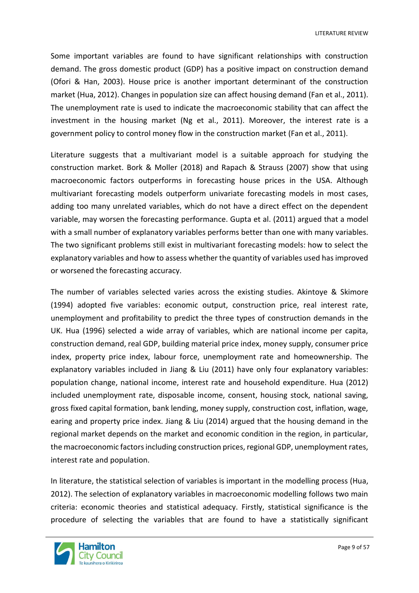Some important variables are found to have significant relationships with construction demand. The gross domestic product (GDP) has a positive impact on construction demand (Ofori & Han, 2003). House price is another important determinant of the construction market (Hua, 2012). Changes in population size can affect housing demand (Fan et al., 2011). The unemployment rate is used to indicate the macroeconomic stability that can affect the investment in the housing market (Ng et al., 2011). Moreover, the interest rate is a government policy to control money flow in the construction market (Fan et al., 2011).

Literature suggests that a multivariant model is a suitable approach for studying the construction market. Bork & Moller (2018) and Rapach & Strauss (2007) show that using macroeconomic factors outperforms in forecasting house prices in the USA. Although multivariant forecasting models outperform univariate forecasting models in most cases, adding too many unrelated variables, which do not have a direct effect on the dependent variable, may worsen the forecasting performance. Gupta et al. (2011) argued that a model with a small number of explanatory variables performs better than one with many variables. The two significant problems still exist in multivariant forecasting models: how to select the explanatory variables and how to assess whether the quantity of variables used has improved or worsened the forecasting accuracy.

The number of variables selected varies across the existing studies. Akintoye & Skimore (1994) adopted five variables: economic output, construction price, real interest rate, unemployment and profitability to predict the three types of construction demands in the UK. Hua (1996) selected a wide array of variables, which are national income per capita, construction demand, real GDP, building material price index, money supply, consumer price index, property price index, labour force, unemployment rate and homeownership. The explanatory variables included in Jiang & Liu (2011) have only four explanatory variables: population change, national income, interest rate and household expenditure. Hua (2012) included unemployment rate, disposable income, consent, housing stock, national saving, gross fixed capital formation, bank lending, money supply, construction cost, inflation, wage, earing and property price index. Jiang & Liu (2014) argued that the housing demand in the regional market depends on the market and economic condition in the region, in particular, the macroeconomic factors including construction prices, regional GDP, unemployment rates, interest rate and population.

In literature, the statistical selection of variables is important in the modelling process (Hua, 2012). The selection of explanatory variables in macroeconomic modelling follows two main criteria: economic theories and statistical adequacy. Firstly, statistical significance is the procedure of selecting the variables that are found to have a statistically significant

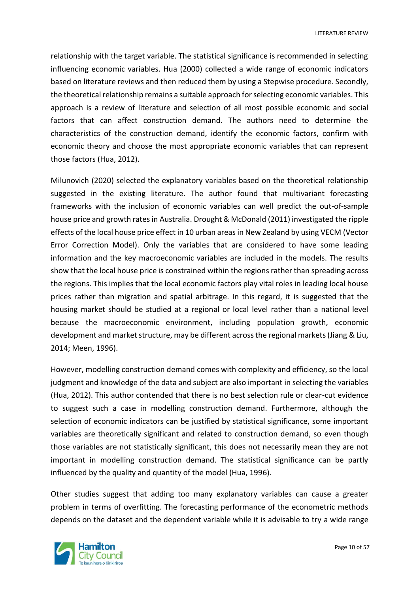LITERATURE REVIEW

relationship with the target variable. The statistical significance is recommended in selecting influencing economic variables. Hua (2000) collected a wide range of economic indicators based on literature reviews and then reduced them by using a Stepwise procedure. Secondly, the theoretical relationship remains a suitable approach for selecting economic variables. This approach is a review of literature and selection of all most possible economic and social factors that can affect construction demand. The authors need to determine the characteristics of the construction demand, identify the economic factors, confirm with economic theory and choose the most appropriate economic variables that can represent those factors (Hua, 2012).

Milunovich (2020) selected the explanatory variables based on the theoretical relationship suggested in the existing literature. The author found that multivariant forecasting frameworks with the inclusion of economic variables can well predict the out-of-sample house price and growth rates in Australia. Drought & McDonald (2011) investigated the ripple effects of the local house price effect in 10 urban areas in New Zealand by using VECM (Vector Error Correction Model). Only the variables that are considered to have some leading information and the key macroeconomic variables are included in the models. The results show that the local house price is constrained within the regions rather than spreading across the regions. This implies that the local economic factors play vital roles in leading local house prices rather than migration and spatial arbitrage. In this regard, it is suggested that the housing market should be studied at a regional or local level rather than a national level because the macroeconomic environment, including population growth, economic development and market structure, may be different across the regional markets (Jiang & Liu, 2014; Meen, 1996).

However, modelling construction demand comes with complexity and efficiency, so the local judgment and knowledge of the data and subject are also important in selecting the variables (Hua, 2012). This author contended that there is no best selection rule or clear-cut evidence to suggest such a case in modelling construction demand. Furthermore, although the selection of economic indicators can be justified by statistical significance, some important variables are theoretically significant and related to construction demand, so even though those variables are not statistically significant, this does not necessarily mean they are not important in modelling construction demand. The statistical significance can be partly influenced by the quality and quantity of the model (Hua, 1996).

Other studies suggest that adding too many explanatory variables can cause a greater problem in terms of overfitting. The forecasting performance of the econometric methods depends on the dataset and the dependent variable while it is advisable to try a wide range

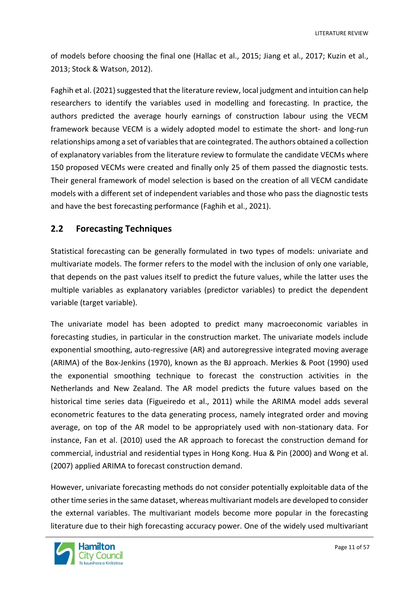of models before choosing the final one (Hallac et al., 2015; Jiang et al., 2017; Kuzin et al., 2013; Stock & Watson, 2012).

Faghih et al. (2021) suggested that the literature review, local judgment and intuition can help researchers to identify the variables used in modelling and forecasting. In practice, the authors predicted the average hourly earnings of construction labour using the VECM framework because VECM is a widely adopted model to estimate the short- and long-run relationships among a set of variables that are cointegrated. The authors obtained a collection of explanatory variables from the literature review to formulate the candidate VECMs where 150 proposed VECMs were created and finally only 25 of them passed the diagnostic tests. Their general framework of model selection is based on the creation of all VECM candidate models with a different set of independent variables and those who pass the diagnostic tests and have the best forecasting performance (Faghih et al., 2021).

#### <span id="page-10-0"></span>**2.2 Forecasting Techniques**

Statistical forecasting can be generally formulated in two types of models: univariate and multivariate models. The former refers to the model with the inclusion of only one variable, that depends on the past values itself to predict the future values, while the latter uses the multiple variables as explanatory variables (predictor variables) to predict the dependent variable (target variable).

The univariate model has been adopted to predict many macroeconomic variables in forecasting studies, in particular in the construction market. The univariate models include exponential smoothing, auto-regressive (AR) and autoregressive integrated moving average (ARIMA) of the Box-Jenkins (1970), known as the BJ approach. Merkies & Poot (1990) used the exponential smoothing technique to forecast the construction activities in the Netherlands and New Zealand. The AR model predicts the future values based on the historical time series data (Figueiredo et al., 2011) while the ARIMA model adds several econometric features to the data generating process, namely integrated order and moving average, on top of the AR model to be appropriately used with non-stationary data. For instance, Fan et al. (2010) used the AR approach to forecast the construction demand for commercial, industrial and residential types in Hong Kong. Hua & Pin (2000) and Wong et al. (2007) applied ARIMA to forecast construction demand.

However, univariate forecasting methods do not consider potentially exploitable data of the other time series in the same dataset, whereas multivariant models are developed to consider the external variables. The multivariant models become more popular in the forecasting literature due to their high forecasting accuracy power. One of the widely used multivariant

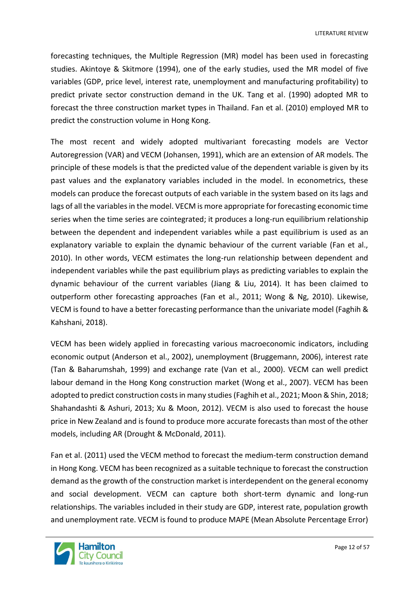forecasting techniques, the Multiple Regression (MR) model has been used in forecasting studies. Akintoye & Skitmore (1994), one of the early studies, used the MR model of five variables (GDP, price level, interest rate, unemployment and manufacturing profitability) to predict private sector construction demand in the UK. Tang et al. (1990) adopted MR to forecast the three construction market types in Thailand. Fan et al. (2010) employed MR to predict the construction volume in Hong Kong.

The most recent and widely adopted multivariant forecasting models are Vector Autoregression (VAR) and VECM (Johansen, 1991), which are an extension of AR models. The principle of these models is that the predicted value of the dependent variable is given by its past values and the explanatory variables included in the model. In econometrics, these models can produce the forecast outputs of each variable in the system based on its lags and lags of all the variables in the model. VECM is more appropriate for forecasting economic time series when the time series are cointegrated; it produces a long-run equilibrium relationship between the dependent and independent variables while a past equilibrium is used as an explanatory variable to explain the dynamic behaviour of the current variable (Fan et al., 2010). In other words, VECM estimates the long-run relationship between dependent and independent variables while the past equilibrium plays as predicting variables to explain the dynamic behaviour of the current variables (Jiang & Liu, 2014). It has been claimed to outperform other forecasting approaches (Fan et al., 2011; Wong & Ng, 2010). Likewise, VECM is found to have a better forecasting performance than the univariate model (Faghih & Kahshani, 2018).

VECM has been widely applied in forecasting various macroeconomic indicators, including economic output (Anderson et al., 2002), unemployment (Bruggemann, 2006), interest rate (Tan & Baharumshah, 1999) and exchange rate (Van et al., 2000). VECM can well predict labour demand in the Hong Kong construction market (Wong et al., 2007). VECM has been adopted to predict construction costs in many studies(Faghih et al., 2021; Moon & Shin, 2018; Shahandashti & Ashuri, 2013; Xu & Moon, 2012). VECM is also used to forecast the house price in New Zealand and is found to produce more accurate forecasts than most of the other models, including AR (Drought & McDonald, 2011).

Fan et al. (2011) used the VECM method to forecast the medium-term construction demand in Hong Kong. VECM has been recognized as a suitable technique to forecast the construction demand as the growth of the construction market is interdependent on the general economy and social development. VECM can capture both short-term dynamic and long-run relationships. The variables included in their study are GDP, interest rate, population growth and unemployment rate. VECM is found to produce MAPE (Mean Absolute Percentage Error)

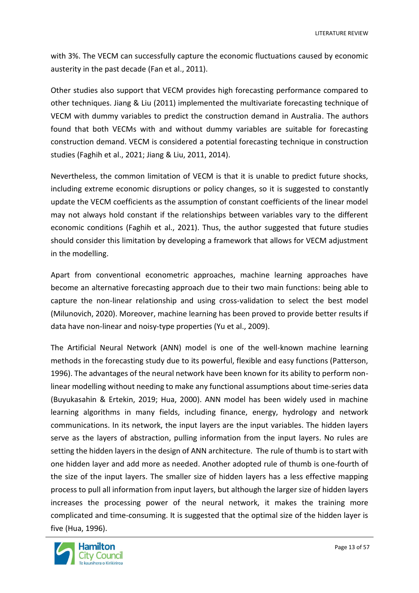with 3%. The VECM can successfully capture the economic fluctuations caused by economic austerity in the past decade (Fan et al., 2011).

Other studies also support that VECM provides high forecasting performance compared to other techniques. Jiang & Liu (2011) implemented the multivariate forecasting technique of VECM with dummy variables to predict the construction demand in Australia. The authors found that both VECMs with and without dummy variables are suitable for forecasting construction demand. VECM is considered a potential forecasting technique in construction studies (Faghih et al., 2021; Jiang & Liu, 2011, 2014).

Nevertheless, the common limitation of VECM is that it is unable to predict future shocks, including extreme economic disruptions or policy changes, so it is suggested to constantly update the VECM coefficients as the assumption of constant coefficients of the linear model may not always hold constant if the relationships between variables vary to the different economic conditions (Faghih et al., 2021). Thus, the author suggested that future studies should consider this limitation by developing a framework that allows for VECM adjustment in the modelling.

Apart from conventional econometric approaches, machine learning approaches have become an alternative forecasting approach due to their two main functions: being able to capture the non-linear relationship and using cross-validation to select the best model (Milunovich, 2020). Moreover, machine learning has been proved to provide better results if data have non-linear and noisy-type properties (Yu et al., 2009).

The Artificial Neural Network (ANN) model is one of the well-known machine learning methods in the forecasting study due to its powerful, flexible and easy functions (Patterson, 1996). The advantages of the neural network have been known for its ability to perform nonlinear modelling without needing to make any functional assumptions about time-series data (Buyukasahin & Ertekin, 2019; Hua, 2000). ANN model has been widely used in machine learning algorithms in many fields, including finance, energy, hydrology and network communications. In its network, the input layers are the input variables. The hidden layers serve as the layers of abstraction, pulling information from the input layers. No rules are setting the hidden layers in the design of ANN architecture. The rule of thumb is to start with one hidden layer and add more as needed. Another adopted rule of thumb is one-fourth of the size of the input layers. The smaller size of hidden layers has a less effective mapping process to pull all information from input layers, but although the larger size of hidden layers increases the processing power of the neural network, it makes the training more complicated and time-consuming. It is suggested that the optimal size of the hidden layer is five (Hua, 1996).

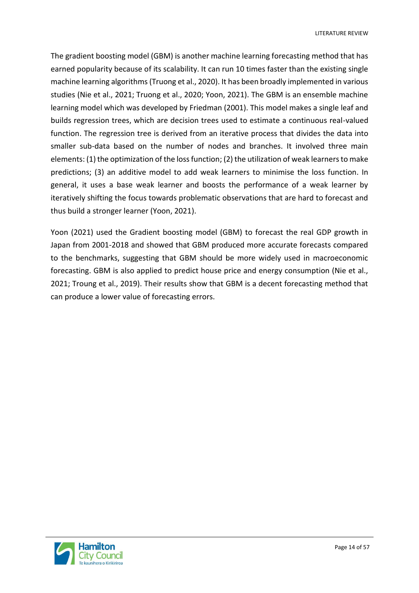LITERATURE REVIEW

The gradient boosting model (GBM) is another machine learning forecasting method that has earned popularity because of its scalability. It can run 10 times faster than the existing single machine learning algorithms (Truong et al., 2020). It has been broadly implemented in various studies (Nie et al., 2021; Truong et al., 2020; Yoon, 2021). The GBM is an ensemble machine learning model which was developed by Friedman (2001). This model makes a single leaf and builds regression trees, which are decision trees used to estimate a continuous real-valued function. The regression tree is derived from an iterative process that divides the data into smaller sub-data based on the number of nodes and branches. It involved three main elements: (1) the optimization of the loss function; (2) the utilization of weak learners to make predictions; (3) an additive model to add weak learners to minimise the loss function. In general, it uses a base weak learner and boosts the performance of a weak learner by iteratively shifting the focus towards problematic observations that are hard to forecast and thus build a stronger learner (Yoon, 2021).

Yoon (2021) used the Gradient boosting model (GBM) to forecast the real GDP growth in Japan from 2001-2018 and showed that GBM produced more accurate forecasts compared to the benchmarks, suggesting that GBM should be more widely used in macroeconomic forecasting. GBM is also applied to predict house price and energy consumption (Nie et al., 2021; Troung et al., 2019). Their results show that GBM is a decent forecasting method that can produce a lower value of forecasting errors.

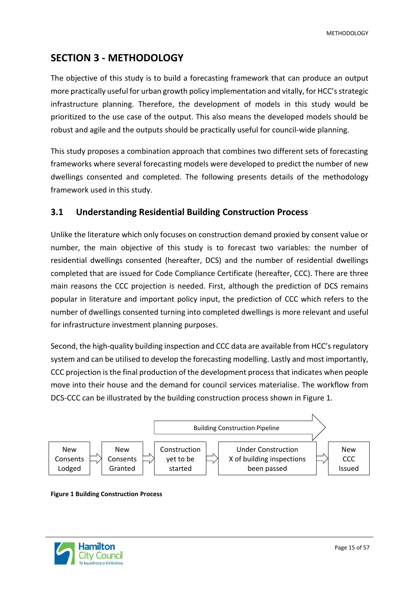# <span id="page-14-0"></span>**SECTION 3 - METHODOLOGY**

The objective of this study is to build a forecasting framework that can produce an output more practically useful for urban growth policy implementation and vitally, for HCC's strategic infrastructure planning. Therefore, the development of models in this study would be prioritized to the use case of the output. This also means the developed models should be robust and agile and the outputs should be practically useful for council-wide planning.

This study proposes a combination approach that combines two different sets of forecasting frameworks where several forecasting models were developed to predict the number of new dwellings consented and completed. The following presents details of the methodology framework used in this study.

#### <span id="page-14-1"></span>**3.1 Understanding Residential Building Construction Process**

Unlike the literature which only focuses on construction demand proxied by consent value or number, the main objective of this study is to forecast two variables: the number of residential dwellings consented (hereafter, DCS) and the number of residential dwellings completed that are issued for Code Compliance Certificate (hereafter, CCC). There are three main reasons the CCC projection is needed. First, although the prediction of DCS remains popular in literature and important policy input, the prediction of CCC which refers to the number of dwellings consented turning into completed dwellings is more relevant and useful for infrastructure investment planning purposes.

Second, the high-quality building inspection and CCC data are available from HCC's regulatory system and can be utilised to develop the forecasting modelling. Lastly and most importantly, CCC projection is the final production of the development process that indicates when people move into their house and the demand for council services materialise. The workflow from DCS-CCC can be illustrated by the building construction process shown in Figure 1.



<span id="page-14-2"></span>**Figure 1 Building Construction Process**

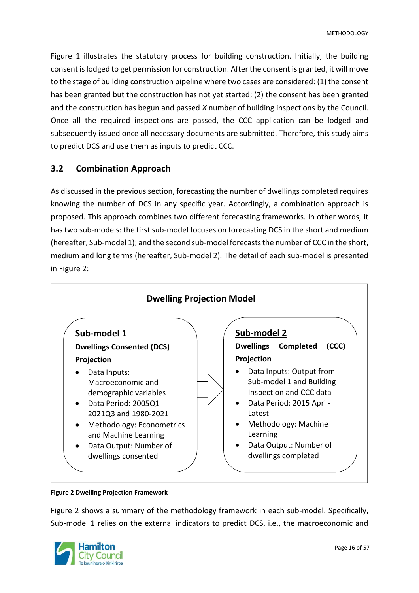Figure 1 illustrates the statutory process for building construction. Initially, the building consent islodged to get permission for construction. After the consent is granted, it will move to the stage of building construction pipeline where two cases are considered: (1) the consent has been granted but the construction has not yet started; (2) the consent has been granted and the construction has begun and passed *X* number of building inspections by the Council. Once all the required inspections are passed, the CCC application can be lodged and subsequently issued once all necessary documents are submitted. Therefore, this study aims to predict DCS and use them as inputs to predict CCC.

### <span id="page-15-0"></span>**3.2 Combination Approach**

As discussed in the previous section, forecasting the number of dwellings completed requires knowing the number of DCS in any specific year. Accordingly, a combination approach is proposed. This approach combines two different forecasting frameworks. In other words, it has two sub-models: the first sub-model focuses on forecasting DCS in the short and medium (hereafter, Sub-model 1); and the second sub-model forecasts the number of CCC in the short, medium and long terms (hereafter, Sub-model 2). The detail of each sub-model is presented in Figure 2:



#### <span id="page-15-1"></span>**Figure 2 Dwelling Projection Framework**

Figure 2 shows a summary of the methodology framework in each sub-model. Specifically, Sub-model 1 relies on the external indicators to predict DCS, i.e., the macroeconomic and

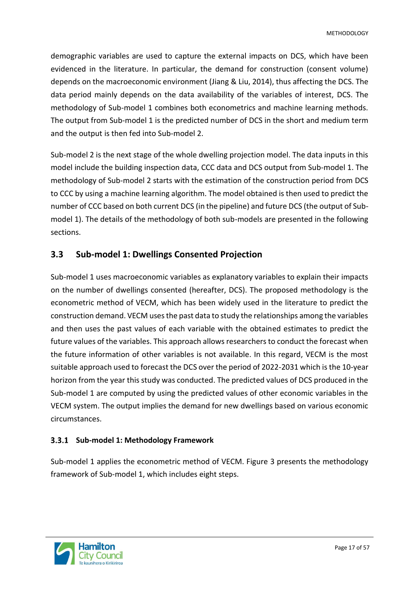demographic variables are used to capture the external impacts on DCS, which have been evidenced in the literature. In particular, the demand for construction (consent volume) depends on the macroeconomic environment (Jiang & Liu, 2014), thus affecting the DCS. The data period mainly depends on the data availability of the variables of interest, DCS. The methodology of Sub-model 1 combines both econometrics and machine learning methods. The output from Sub-model 1 is the predicted number of DCS in the short and medium term and the output is then fed into Sub-model 2.

Sub-model 2 is the next stage of the whole dwelling projection model. The data inputs in this model include the building inspection data, CCC data and DCS output from Sub-model 1. The methodology of Sub-model 2 starts with the estimation of the construction period from DCS to CCC by using a machine learning algorithm. The model obtained is then used to predict the number of CCC based on both current DCS (in the pipeline) and future DCS (the output of Submodel 1). The details of the methodology of both sub-models are presented in the following sections.

### <span id="page-16-0"></span>**3.3 Sub-model 1: Dwellings Consented Projection**

Sub-model 1 uses macroeconomic variables as explanatory variables to explain their impacts on the number of dwellings consented (hereafter, DCS). The proposed methodology is the econometric method of VECM, which has been widely used in the literature to predict the construction demand. VECM uses the past data to study the relationships among the variables and then uses the past values of each variable with the obtained estimates to predict the future values of the variables. This approach allows researchers to conduct the forecast when the future information of other variables is not available. In this regard, VECM is the most suitable approach used to forecast the DCS over the period of 2022-2031 which is the 10-year horizon from the year this study was conducted. The predicted values of DCS produced in the Sub-model 1 are computed by using the predicted values of other economic variables in the VECM system. The output implies the demand for new dwellings based on various economic circumstances.

#### <span id="page-16-1"></span>**Sub-model 1: Methodology Framework**

Sub-model 1 applies the econometric method of VECM. Figure 3 presents the methodology framework of Sub-model 1, which includes eight steps.

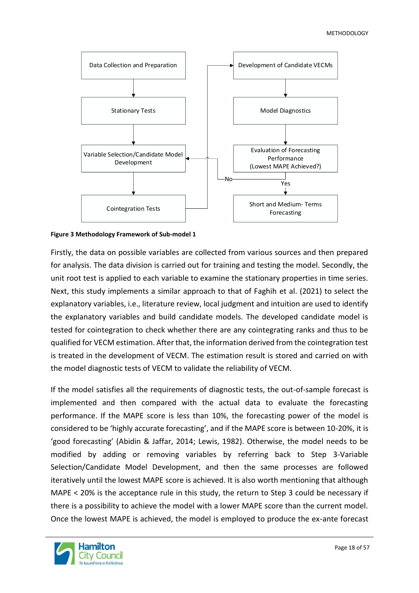#### METHODOLOGY



<span id="page-17-0"></span>**Figure 3 Methodology Framework of Sub-model 1**

Firstly, the data on possible variables are collected from various sources and then prepared for analysis. The data division is carried out for training and testing the model. Secondly, the unit root test is applied to each variable to examine the stationary properties in time series. Next, this study implements a similar approach to that of Faghih et al. (2021) to select the explanatory variables, i.e., literature review, local judgment and intuition are used to identify the explanatory variables and build candidate models. The developed candidate model is tested for cointegration to check whether there are any cointegrating ranks and thus to be qualified for VECM estimation. After that, the information derived from the cointegration test is treated in the development of VECM. The estimation result is stored and carried on with the model diagnostic tests of VECM to validate the reliability of VECM.

If the model satisfies all the requirements of diagnostic tests, the out-of-sample forecast is implemented and then compared with the actual data to evaluate the forecasting performance. If the MAPE score is less than 10%, the forecasting power of the model is considered to be 'highly accurate forecasting', and if the MAPE score is between 10-20%, it is 'good forecasting' (Abidin & Jaffar, 2014; Lewis, 1982). Otherwise, the model needs to be modified by adding or removing variables by referring back to Step 3-Variable Selection/Candidate Model Development, and then the same processes are followed iteratively until the lowest MAPE score is achieved. It is also worth mentioning that although MAPE < 20% is the acceptance rule in this study, the return to Step 3 could be necessary if there is a possibility to achieve the model with a lower MAPE score than the current model. Once the lowest MAPE is achieved, the model is employed to produce the ex-ante forecast

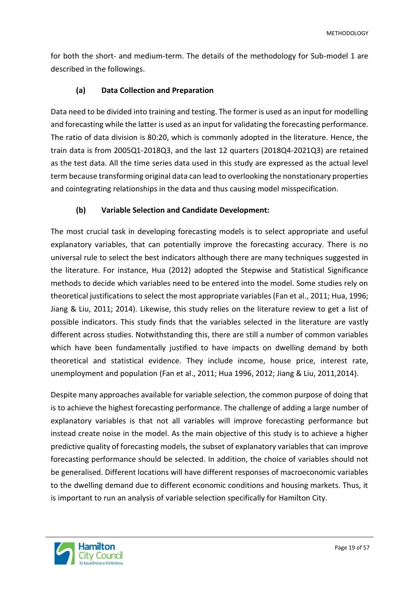for both the short- and medium-term. The details of the methodology for Sub-model 1 are described in the followings.

#### **(a) Data Collection and Preparation**

Data need to be divided into training and testing. The former is used as an input for modelling and forecasting while the latter is used as an input for validating the forecasting performance. The ratio of data division is 80:20, which is commonly adopted in the literature. Hence, the train data is from 2005Q1-2018Q3, and the last 12 quarters (2018Q4-2021Q3) are retained as the test data. All the time series data used in this study are expressed as the actual level term because transforming original data can lead to overlooking the nonstationary properties and cointegrating relationships in the data and thus causing model misspecification.

#### **(b) Variable Selection and Candidate Development:**

The most crucial task in developing forecasting models is to select appropriate and useful explanatory variables, that can potentially improve the forecasting accuracy. There is no universal rule to select the best indicators although there are many techniques suggested in the literature. For instance, Hua (2012) adopted the Stepwise and Statistical Significance methods to decide which variables need to be entered into the model. Some studies rely on theoretical justifications to select the most appropriate variables (Fan et al., 2011; Hua, 1996; Jiang & Liu, 2011; 2014). Likewise, this study relies on the literature review to get a list of possible indicators. This study finds that the variables selected in the literature are vastly different across studies. Notwithstanding this, there are still a number of common variables which have been fundamentally justified to have impacts on dwelling demand by both theoretical and statistical evidence. They include income, house price, interest rate, unemployment and population (Fan et al., 2011; Hua 1996, 2012; Jiang & Liu, 2011,2014).

Despite many approaches available for variable selection, the common purpose of doing that is to achieve the highest forecasting performance. The challenge of adding a large number of explanatory variables is that not all variables will improve forecasting performance but instead create noise in the model. As the main objective of this study is to achieve a higher predictive quality of forecasting models, the subset of explanatory variables that can improve forecasting performance should be selected. In addition, the choice of variables should not be generalised. Different locations will have different responses of macroeconomic variables to the dwelling demand due to different economic conditions and housing markets. Thus, it is important to run an analysis of variable selection specifically for Hamilton City.

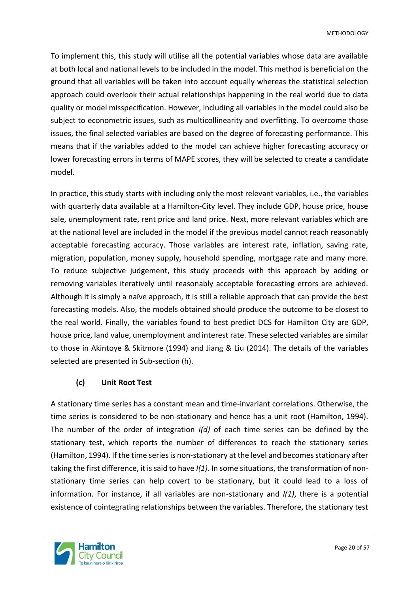To implement this, this study will utilise all the potential variables whose data are available at both local and national levels to be included in the model. This method is beneficial on the ground that all variables will be taken into account equally whereas the statistical selection approach could overlook their actual relationships happening in the real world due to data quality or model misspecification. However, including all variables in the model could also be subject to econometric issues, such as multicollinearity and overfitting. To overcome those issues, the final selected variables are based on the degree of forecasting performance. This means that if the variables added to the model can achieve higher forecasting accuracy or lower forecasting errors in terms of MAPE scores, they will be selected to create a candidate model.

In practice, this study starts with including only the most relevant variables, i.e., the variables with quarterly data available at a Hamilton-City level. They include GDP, house price, house sale, unemployment rate, rent price and land price. Next, more relevant variables which are at the national level are included in the model if the previous model cannot reach reasonably acceptable forecasting accuracy. Those variables are interest rate, inflation, saving rate, migration, population, money supply, household spending, mortgage rate and many more. To reduce subjective judgement, this study proceeds with this approach by adding or removing variables iteratively until reasonably acceptable forecasting errors are achieved. Although it is simply a naïve approach, it is still a reliable approach that can provide the best forecasting models. Also, the models obtained should produce the outcome to be closest to the real world. Finally, the variables found to best predict DCS for Hamilton City are GDP, house price, land value, unemployment and interest rate. These selected variables are similar to those in Akintoye & Skitmore (1994) and Jiang & Liu (2014). The details of the variables selected are presented in Sub-section (h).

#### **(c) Unit Root Test**

A stationary time series has a constant mean and time-invariant correlations. Otherwise, the time series is considered to be non-stationary and hence has a unit root (Hamilton, 1994). The number of the order of integration *I(d)* of each time series can be defined by the stationary test, which reports the number of differences to reach the stationary series (Hamilton, 1994). If the time series is non-stationary at the level and becomes stationary after taking the first difference, it is said to have *I(1)*. In some situations, the transformation of nonstationary time series can help covert to be stationary, but it could lead to a loss of information. For instance, if all variables are non-stationary and *I(1)*, there is a potential existence of cointegrating relationships between the variables. Therefore, the stationary test

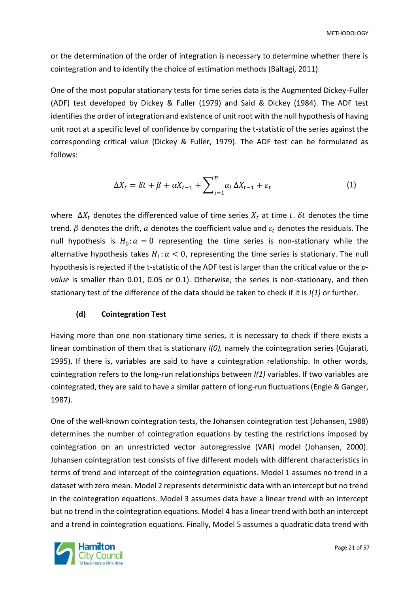or the determination of the order of integration is necessary to determine whether there is cointegration and to identify the choice of estimation methods (Baltagi, 2011).

One of the most popular stationary tests for time series data is the Augmented Dickey-Fuller (ADF) test developed by Dickey & Fuller (1979) and Said & Dickey (1984). The ADF test identifies the order of integration and existence of unit root with the null hypothesis of having unit root at a specific level of confidence by comparing the t-statistic of the series against the corresponding critical value (Dickey & Fuller, 1979). The ADF test can be formulated as follows:

$$
\Delta X_t = \delta t + \beta + \alpha X_{t-1} + \sum_{i=1}^p \alpha_i \Delta X_{t-1} + \varepsilon_t \tag{1}
$$

where  $\Delta X_t$  denotes the differenced value of time series  $X_t$  at time t.  $\delta t$  denotes the time trend.  $\beta$  denotes the drift,  $\alpha$  denotes the coefficient value and  $\varepsilon_t$  denotes the residuals. The null hypothesis is  $H_0: \alpha = 0$  representing the time series is non-stationary while the alternative hypothesis takes  $H_1: \alpha < 0$ , representing the time series is stationary. The null hypothesis is rejected if the t-statistic of the ADF test is larger than the critical value or the *pvalue* is smaller than 0.01, 0.05 or 0.1). Otherwise, the series is non-stationary, and then stationary test of the difference of the data should be taken to check if it is *I(1)* or further.

#### **(d) Cointegration Test**

Having more than one non-stationary time series, it is necessary to check if there exists a linear combination of them that is stationary *I(0),* namely the cointegration series (Gujarati, 1995). If there is, variables are said to have a cointegration relationship. In other words, cointegration refers to the long-run relationships between *I(1)* variables. If two variables are cointegrated, they are said to have a similar pattern of long-run fluctuations (Engle & Ganger, 1987).

One of the well-known cointegration tests, the Johansen cointegration test (Johansen, 1988) determines the number of cointegration equations by testing the restrictions imposed by cointegration on an unrestricted vector autoregressive (VAR) model (Johansen, 2000). Johansen cointegration test consists of five different models with different characteristics in terms of trend and intercept of the cointegration equations. Model 1 assumes no trend in a dataset with zero mean. Model 2 represents deterministic data with an intercept but no trend in the cointegration equations. Model 3 assumes data have a linear trend with an intercept but no trend in the cointegration equations. Model 4 has a linear trend with both an intercept and a trend in cointegration equations. Finally, Model 5 assumes a quadratic data trend with

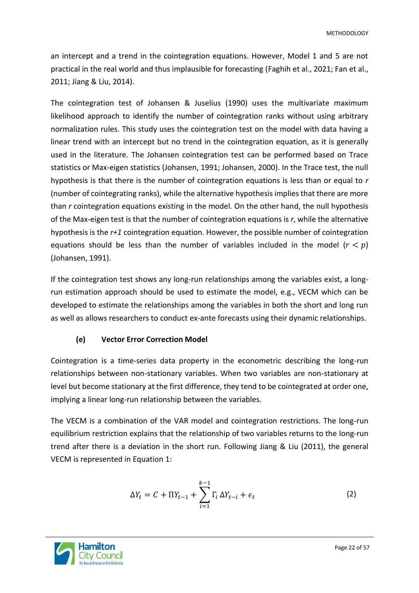an intercept and a trend in the cointegration equations. However, Model 1 and 5 are not practical in the real world and thus implausible for forecasting (Faghih et al., 2021; Fan et al., 2011; Jiang & Liu, 2014).

The cointegration test of Johansen & Juselius (1990) uses the multivariate maximum likelihood approach to identify the number of cointegration ranks without using arbitrary normalization rules. This study uses the cointegration test on the model with data having a linear trend with an intercept but no trend in the cointegration equation, as it is generally used in the literature. The Johansen cointegration test can be performed based on Trace statistics or Max-eigen statistics (Johansen, 1991; Johansen, 2000). In the Trace test, the null hypothesis is that there is the number of cointegration equations is less than or equal to *r*  (number of cointegrating ranks), while the alternative hypothesis implies that there are more than *r* cointegration equations existing in the model. On the other hand, the null hypothesis of the Max-eigen test is that the number of cointegration equations is *r*, while the alternative hypothesis is the *r+1* cointegration equation. However, the possible number of cointegration equations should be less than the number of variables included in the model  $(r < p)$ (Johansen, 1991).

If the cointegration test shows any long-run relationships among the variables exist, a longrun estimation approach should be used to estimate the model, e.g., VECM which can be developed to estimate the relationships among the variables in both the short and long run as well as allows researchers to conduct ex-ante forecasts using their dynamic relationships.

#### **(e) Vector Error Correction Model**

Cointegration is a time-series data property in the econometric describing the long-run relationships between non-stationary variables. When two variables are non-stationary at level but become stationary at the first difference, they tend to be cointegrated at order one, implying a linear long-run relationship between the variables.

The VECM is a combination of the VAR model and cointegration restrictions. The long-run equilibrium restriction explains that the relationship of two variables returns to the long-run trend after there is a deviation in the short run. Following Jiang & Liu (2011), the general VECM is represented in Equation 1:

$$
\Delta Y_t = C + \Pi Y_{t-1} + \sum_{i=1}^{k-1} \Gamma_i \, \Delta Y_{t-i} + \epsilon_t \tag{2}
$$

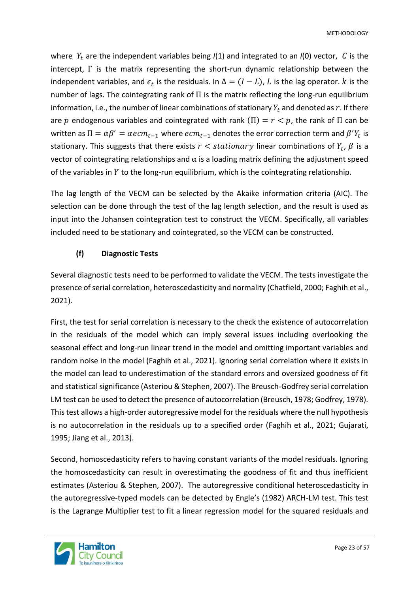where  $Y_t$  are the independent variables being  $I(1)$  and integrated to an  $I(0)$  vector, C is the intercept, Γ is the matrix representing the short-run dynamic relationship between the independent variables, and  $\epsilon_t$  is the residuals. In  $\Delta = (I - L)$ ,  $L$  is the lag operator.  $k$  is the number of lags. The cointegrating rank of  $\Pi$  is the matrix reflecting the long-run equilibrium information, i.e., the number of linear combinations of stationary  $Y_t$  and denoted as  $r$ . If there are p endogenous variables and cointegrated with rank  $(\Pi) = r < p$ , the rank of  $\Pi$  can be written as  $\Pi=\alpha\beta'=\alpha e cm_{t-1}$  where  $e cm_{t-1}$  denotes the error correction term and  $\beta'Y_t$  is stationary. This suggests that there exists  $r <$  stationary linear combinations of  $Y_t$ ,  $\beta$  is a vector of cointegrating relationships and  $\alpha$  is a loading matrix defining the adjustment speed of the variables in  $Y$  to the long-run equilibrium, which is the cointegrating relationship.

The lag length of the VECM can be selected by the Akaike information criteria (AIC). The selection can be done through the test of the lag length selection, and the result is used as input into the Johansen cointegration test to construct the VECM. Specifically, all variables included need to be stationary and cointegrated, so the VECM can be constructed.

#### **(f) Diagnostic Tests**

Several diagnostic tests need to be performed to validate the VECM. The tests investigate the presence of serial correlation, heteroscedasticity and normality (Chatfield, 2000; Faghih et al., 2021).

First, the test for serial correlation is necessary to the check the existence of autocorrelation in the residuals of the model which can imply several issues including overlooking the seasonal effect and long-run linear trend in the model and omitting important variables and random noise in the model (Faghih et al., 2021). Ignoring serial correlation where it exists in the model can lead to underestimation of the standard errors and oversized goodness of fit and statistical significance (Asteriou & Stephen, 2007). The Breusch-Godfrey serial correlation LM test can be used to detect the presence of autocorrelation (Breusch, 1978; Godfrey, 1978). This test allows a high-order autoregressive model for the residuals where the null hypothesis is no autocorrelation in the residuals up to a specified order (Faghih et al., 2021; Gujarati, 1995; Jiang et al., 2013).

Second, homoscedasticity refers to having constant variants of the model residuals. Ignoring the homoscedasticity can result in overestimating the goodness of fit and thus inefficient estimates (Asteriou & Stephen, 2007). The autoregressive conditional heteroscedasticity in the autoregressive-typed models can be detected by Engle's (1982) ARCH-LM test. This test is the Lagrange Multiplier test to fit a linear regression model for the squared residuals and

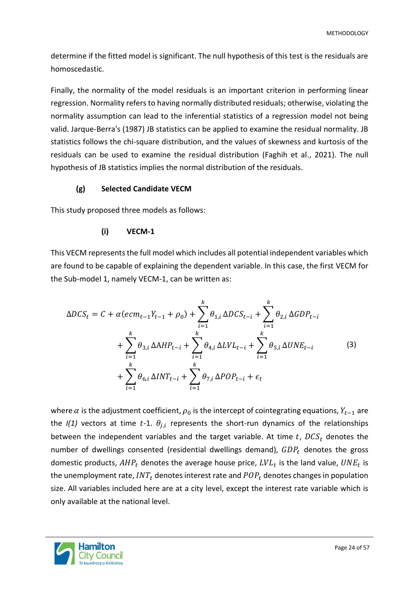determine if the fitted model is significant. The null hypothesis of this test is the residuals are homoscedastic.

Finally, the normality of the model residuals is an important criterion in performing linear regression. Normality refers to having normally distributed residuals; otherwise, violating the normality assumption can lead to the inferential statistics of a regression model not being valid. Jarque-Berra's (1987) JB statistics can be applied to examine the residual normality. JB statistics follows the chi-square distribution, and the values of skewness and kurtosis of the residuals can be used to examine the residual distribution (Faghih et al., 2021). The null hypothesis of JB statistics implies the normal distribution of the residuals.

#### **(g) Selected Candidate VECM**

This study proposed three models as follows:

#### **(i) VECM-1**

This VECM represents the full model which includes all potential independent variables which are found to be capable of explaining the dependent variable. In this case, the first VECM for the Sub-model 1, namely VECM-1, can be written as:

$$
\Delta DCS_t = C + \alpha (ecm_{t-1}Y_{t-1} + \rho_0) + \sum_{i=1}^k \theta_{1,i} \Delta DCS_{t-i} + \sum_{i=1}^k \theta_{2,i} \Delta GDP_{t-i} + \sum_{i=1}^k \theta_{3,i} \Delta AHP_{t-i} + \sum_{i=1}^k \theta_{4,i} \Delta LVL_{t-i} + \sum_{i=1}^k \theta_{5,i} \Delta UNE_{t-i} + \sum_{i=1}^k \theta_{6,i} \Delta INT_{t-i} + \sum_{i=1}^k \theta_{7,i} \Delta POP_{t-i} + \epsilon_t
$$
(3)

where  $\alpha$  is the adjustment coefficient,  $\rho_0$  is the intercept of cointegrating equations,  $Y_{t-1}$  are the  $I(1)$  vectors at time t-1.  $\theta_{j,i}$  represents the short-run dynamics of the relationships between the independent variables and the target variable. At time t,  $DCS_t$  denotes the number of dwellings consented (residential dwellings demand),  $GDP<sub>t</sub>$  denotes the gross domestic products,  $AHP_t$  denotes the average house price,  $LVL_t$  is the land value,  $UNE_t$  is the unemployment rate,  $INT_t$  denotes interest rate and  $POP_t$  denotes changes in population size. All variables included here are at a city level, except the interest rate variable which is only available at the national level.

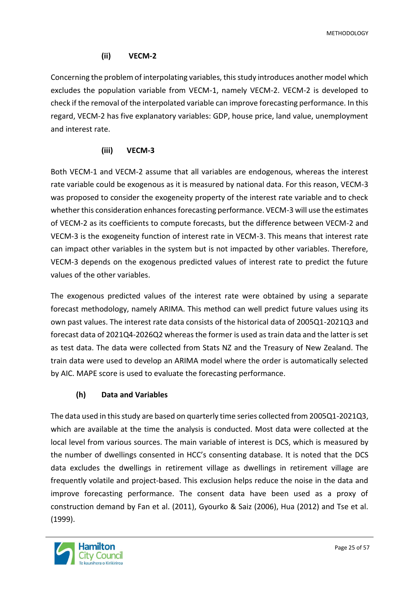**METHODOLOGY** 

#### **(ii) VECM-2**

Concerning the problem of interpolating variables, this study introduces another model which excludes the population variable from VECM-1, namely VECM-2. VECM-2 is developed to check if the removal of the interpolated variable can improve forecasting performance. In this regard, VECM-2 has five explanatory variables: GDP, house price, land value, unemployment and interest rate.

#### **(iii) VECM-3**

Both VECM-1 and VECM-2 assume that all variables are endogenous, whereas the interest rate variable could be exogenous as it is measured by national data. For this reason, VECM-3 was proposed to consider the exogeneity property of the interest rate variable and to check whether this consideration enhances forecasting performance. VECM-3 will use the estimates of VECM-2 as its coefficients to compute forecasts, but the difference between VECM-2 and VECM-3 is the exogeneity function of interest rate in VECM-3. This means that interest rate can impact other variables in the system but is not impacted by other variables. Therefore, VECM-3 depends on the exogenous predicted values of interest rate to predict the future values of the other variables.

The exogenous predicted values of the interest rate were obtained by using a separate forecast methodology, namely ARIMA. This method can well predict future values using its own past values. The interest rate data consists of the historical data of 2005Q1-2021Q3 and forecast data of 2021Q4-2026Q2 whereas the former is used as train data and the latter is set as test data. The data were collected from Stats NZ and the Treasury of New Zealand. The train data were used to develop an ARIMA model where the order is automatically selected by AIC. MAPE score is used to evaluate the forecasting performance.

#### **(h) Data and Variables**

The data used in this study are based on quarterly time series collected from 2005Q1-2021Q3, which are available at the time the analysis is conducted. Most data were collected at the local level from various sources. The main variable of interest is DCS, which is measured by the number of dwellings consented in HCC's consenting database. It is noted that the DCS data excludes the dwellings in retirement village as dwellings in retirement village are frequently volatile and project-based. This exclusion helps reduce the noise in the data and improve forecasting performance. The consent data have been used as a proxy of construction demand by Fan et al. (2011), Gyourko & Saiz (2006), Hua (2012) and Tse et al. (1999).

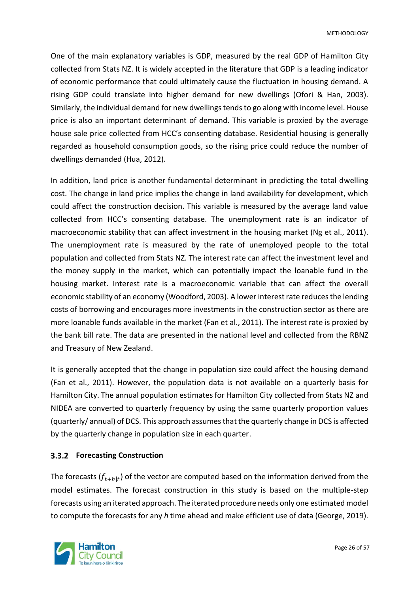One of the main explanatory variables is GDP, measured by the real GDP of Hamilton City collected from Stats NZ. It is widely accepted in the literature that GDP is a leading indicator of economic performance that could ultimately cause the fluctuation in housing demand. A rising GDP could translate into higher demand for new dwellings (Ofori & Han, 2003). Similarly, the individual demand for new dwellings tends to go along with income level. House price is also an important determinant of demand. This variable is proxied by the average house sale price collected from HCC's consenting database. Residential housing is generally regarded as household consumption goods, so the rising price could reduce the number of dwellings demanded (Hua, 2012).

In addition, land price is another fundamental determinant in predicting the total dwelling cost. The change in land price implies the change in land availability for development, which could affect the construction decision. This variable is measured by the average land value collected from HCC's consenting database. The unemployment rate is an indicator of macroeconomic stability that can affect investment in the housing market (Ng et al., 2011). The unemployment rate is measured by the rate of unemployed people to the total population and collected from Stats NZ. The interest rate can affect the investment level and the money supply in the market, which can potentially impact the loanable fund in the housing market. Interest rate is a macroeconomic variable that can affect the overall economic stability of an economy (Woodford, 2003). A lower interest rate reduces the lending costs of borrowing and encourages more investments in the construction sector as there are more loanable funds available in the market (Fan et al., 2011). The interest rate is proxied by the bank bill rate. The data are presented in the national level and collected from the RBNZ and Treasury of New Zealand.

It is generally accepted that the change in population size could affect the housing demand (Fan et al., 2011). However, the population data is not available on a quarterly basis for Hamilton City. The annual population estimates for Hamilton City collected from Stats NZ and NIDEA are converted to quarterly frequency by using the same quarterly proportion values (quarterly/ annual) of DCS. This approach assumes that the quarterly change in DCS is affected by the quarterly change in population size in each quarter.

#### <span id="page-25-0"></span>**Forecasting Construction**

The forecasts  $(f_{t+h|t})$  of the vector are computed based on the information derived from the model estimates. The forecast construction in this study is based on the multiple-step forecasts using an iterated approach. The iterated procedure needs only one estimated model to compute the forecasts for any *h* time ahead and make efficient use of data (George, 2019).

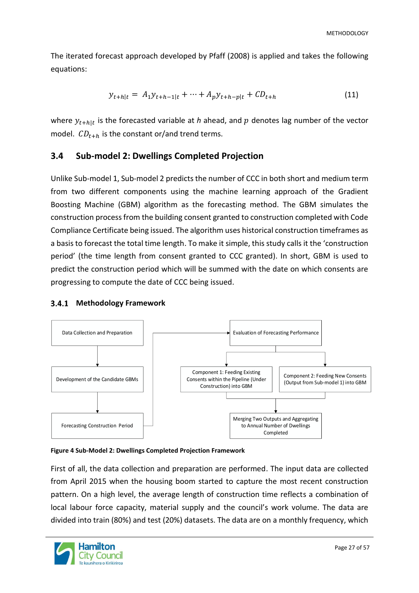The iterated forecast approach developed by Pfaff (2008) is applied and takes the following equations:

$$
y_{t+h|t} = A_1 y_{t+h-1|t} + \dots + A_p y_{t+h-p|t} + C D_{t+h}
$$
\n(11)

where  $y_{t+h|t}$  is the forecasted variable at *h* ahead, and  $p$  denotes lag number of the vector model.  $CD_{t+h}$  is the constant or/and trend terms.

#### <span id="page-26-0"></span>**3.4 Sub-model 2: Dwellings Completed Projection**

Unlike Sub-model 1, Sub-model 2 predicts the number of CCC in both short and medium term from two different components using the machine learning approach of the Gradient Boosting Machine (GBM) algorithm as the forecasting method. The GBM simulates the construction process from the building consent granted to construction completed with Code Compliance Certificate being issued. The algorithm uses historical construction timeframes as a basis to forecast the total time length. To make it simple, this study calls it the 'construction period' (the time length from consent granted to CCC granted). In short, GBM is used to predict the construction period which will be summed with the date on which consents are progressing to compute the date of CCC being issued.

#### <span id="page-26-1"></span>**Methodology Framework**



#### <span id="page-26-2"></span>**Figure 4 Sub-Model 2: Dwellings Completed Projection Framework**

First of all, the data collection and preparation are performed. The input data are collected from April 2015 when the housing boom started to capture the most recent construction pattern. On a high level, the average length of construction time reflects a combination of local labour force capacity, material supply and the council's work volume. The data are divided into train (80%) and test (20%) datasets. The data are on a monthly frequency, which

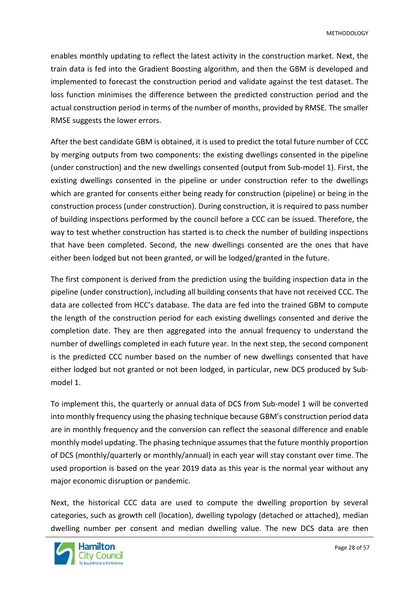enables monthly updating to reflect the latest activity in the construction market. Next, the train data is fed into the Gradient Boosting algorithm, and then the GBM is developed and implemented to forecast the construction period and validate against the test dataset. The loss function minimises the difference between the predicted construction period and the actual construction period in terms of the number of months, provided by RMSE. The smaller RMSE suggests the lower errors.

After the best candidate GBM is obtained, it is used to predict the total future number of CCC by merging outputs from two components: the existing dwellings consented in the pipeline (under construction) and the new dwellings consented (output from Sub-model 1). First, the existing dwellings consented in the pipeline or under construction refer to the dwellings which are granted for consents either being ready for construction (pipeline) or being in the construction process (under construction). During construction, it is required to pass number of building inspections performed by the council before a CCC can be issued. Therefore, the way to test whether construction has started is to check the number of building inspections that have been completed. Second, the new dwellings consented are the ones that have either been lodged but not been granted, or will be lodged/granted in the future.

The first component is derived from the prediction using the building inspection data in the pipeline (under construction), including all building consents that have not received CCC. The data are collected from HCC's database. The data are fed into the trained GBM to compute the length of the construction period for each existing dwellings consented and derive the completion date. They are then aggregated into the annual frequency to understand the number of dwellings completed in each future year. In the next step, the second component is the predicted CCC number based on the number of new dwellings consented that have either lodged but not granted or not been lodged, in particular, new DCS produced by Submodel 1.

To implement this, the quarterly or annual data of DCS from Sub-model 1 will be converted into monthly frequency using the phasing technique because GBM's construction period data are in monthly frequency and the conversion can reflect the seasonal difference and enable monthly model updating. The phasing technique assumes that the future monthly proportion of DCS (monthly/quarterly or monthly/annual) in each year will stay constant over time. The used proportion is based on the year 2019 data as this year is the normal year without any major economic disruption or pandemic.

Next, the historical CCC data are used to compute the dwelling proportion by several categories, such as growth cell (location), dwelling typology (detached or attached), median dwelling number per consent and median dwelling value. The new DCS data are then

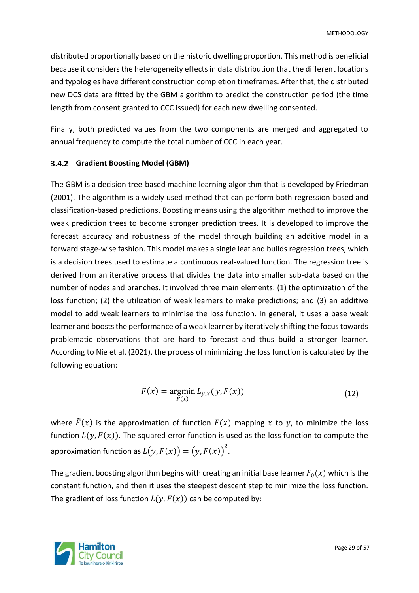distributed proportionally based on the historic dwelling proportion. This method is beneficial because it considers the heterogeneity effects in data distribution that the different locations and typologies have different construction completion timeframes. After that, the distributed new DCS data are fitted by the GBM algorithm to predict the construction period (the time length from consent granted to CCC issued) for each new dwelling consented.

Finally, both predicted values from the two components are merged and aggregated to annual frequency to compute the total number of CCC in each year.

#### <span id="page-28-0"></span>**Gradient Boosting Model (GBM)**

The GBM is a decision tree-based machine learning algorithm that is developed by Friedman (2001). The algorithm is a widely used method that can perform both regression-based and classification-based predictions. Boosting means using the algorithm method to improve the weak prediction trees to become stronger prediction trees. It is developed to improve the forecast accuracy and robustness of the model through building an additive model in a forward stage-wise fashion. This model makes a single leaf and builds regression trees, which is a decision trees used to estimate a continuous real-valued function. The regression tree is derived from an iterative process that divides the data into smaller sub-data based on the number of nodes and branches. It involved three main elements: (1) the optimization of the loss function; (2) the utilization of weak learners to make predictions; and (3) an additive model to add weak learners to minimise the loss function. In general, it uses a base weak learner and boosts the performance of a weak learner by iteratively shifting the focus towards problematic observations that are hard to forecast and thus build a stronger learner. According to Nie et al. (2021), the process of minimizing the loss function is calculated by the following equation:

$$
\tilde{F}(x) = \underset{F(x)}{\operatorname{argmin}} L_{y,x}(y, F(x)) \tag{12}
$$

where  $\tilde{F}(x)$  is the approximation of function  $F(x)$  mapping x to y, to minimize the loss function  $L(y, F(x))$ . The squared error function is used as the loss function to compute the approximation function as  $L\bigl(y, F(x)\bigr) = \bigl(y, F(x)\bigr)^2.$ 

The gradient boosting algorithm begins with creating an initial base learner  $F_0(x)$  which is the constant function, and then it uses the steepest descent step to minimize the loss function. The gradient of loss function  $L(y, F(x))$  can be computed by:

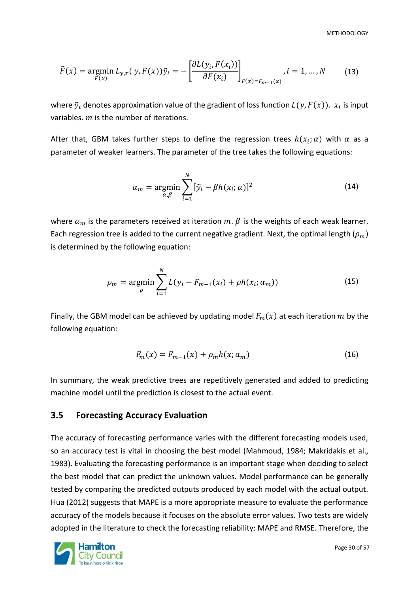METHODOLOGY

$$
\tilde{F}(x) = \underset{F(x)}{\operatorname{argmin}} L_{y,x}(y, F(x)) \tilde{y}_i = -\left[\frac{\partial L(y_i, F(x_i))}{\partial F(x_i)}\right]_{F(x) = F_{m-1}(x)}, i = 1, \dots, N \tag{13}
$$

where  $\tilde{\mathbf{y}}_i$  denotes approximation value of the gradient of loss function  $L(\mathbf{y}, F(\mathbf{x})).\; x_i$  is input variables.  $m$  is the number of iterations.

After that, GBM takes further steps to define the regression trees  $h(x_i;\alpha)$  with  $\alpha$  as a parameter of weaker learners. The parameter of the tree takes the following equations:

$$
\alpha_m = \underset{\alpha,\beta}{\text{argmin}} \sum_{i=1}^N [\tilde{y}_i - \beta h(x_i; \alpha)]^2 \tag{14}
$$

where  $\alpha_m$  is the parameters received at iteration  $m$ .  $\beta$  is the weights of each weak learner. Each regression tree is added to the current negative gradient. Next, the optimal length  $(\rho_m)$ is determined by the following equation:

$$
\rho_m = \underset{\rho}{\text{argmin}} \sum_{i=1}^{N} L(y_i - F_{m-1}(x_i) + \rho h(x_i; \alpha_m))
$$
\n(15)

Finally, the GBM model can be achieved by updating model  $F_m(x)$  at each iteration m by the following equation:

$$
F_m(x) = F_{m-1}(x) + \rho_m h(x; a_m)
$$
\n(16)

In summary, the weak predictive trees are repetitively generated and added to predicting machine model until the prediction is closest to the actual event.

#### <span id="page-29-0"></span>**3.5 Forecasting Accuracy Evaluation**

The accuracy of forecasting performance varies with the different forecasting models used, so an accuracy test is vital in choosing the best model (Mahmoud, 1984; Makridakis et al., 1983). Evaluating the forecasting performance is an important stage when deciding to select the best model that can predict the unknown values. Model performance can be generally tested by comparing the predicted outputs produced by each model with the actual output. Hua (2012) suggests that MAPE is a more appropriate measure to evaluate the performance accuracy of the models because it focuses on the absolute error values. Two tests are widely adopted in the literature to check the forecasting reliability: MAPE and RMSE. Therefore, the

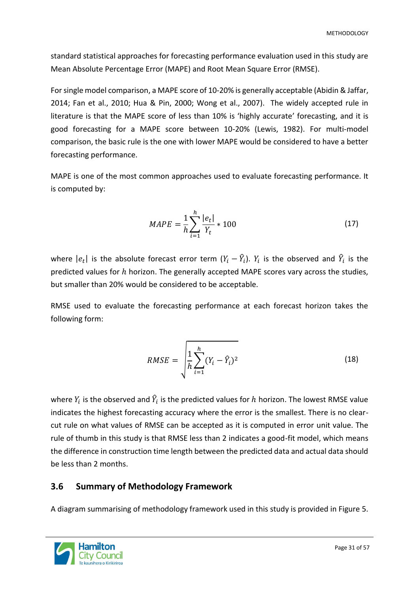standard statistical approaches for forecasting performance evaluation used in this study are Mean Absolute Percentage Error (MAPE) and Root Mean Square Error (RMSE).

For single model comparison, a MAPE score of 10-20% is generally acceptable (Abidin & Jaffar, 2014; Fan et al., 2010; Hua & Pin, 2000; Wong et al., 2007). The widely accepted rule in literature is that the MAPE score of less than 10% is 'highly accurate' forecasting, and it is good forecasting for a MAPE score between 10-20% (Lewis, 1982). For multi-model comparison, the basic rule is the one with lower MAPE would be considered to have a better forecasting performance.

MAPE is one of the most common approaches used to evaluate forecasting performance. It is computed by:

$$
MAPE = \frac{1}{h} \sum_{i=1}^{h} \frac{|e_t|}{Y_t} * 100
$$
 (17)

where  $|e_t|$  is the absolute forecast error term  $(Y_i - \widehat{Y}_i).$   $Y_i$  is the observed and  $\widehat{Y}_i$  is the predicted values for  $h$  horizon. The generally accepted MAPE scores vary across the studies, but smaller than 20% would be considered to be acceptable.

RMSE used to evaluate the forecasting performance at each forecast horizon takes the following form:

$$
RMSE = \sqrt{\frac{1}{h} \sum_{i=1}^{h} (Y_i - \hat{Y}_i)^2}
$$
 (18)

where  $Y_i$  is the observed and  $\widehat{Y}_i$  is the predicted values for  $h$  horizon. The lowest RMSE value indicates the highest forecasting accuracy where the error is the smallest. There is no clearcut rule on what values of RMSE can be accepted as it is computed in error unit value. The rule of thumb in this study is that RMSE less than 2 indicates a good-fit model, which means the difference in construction time length between the predicted data and actual data should be less than 2 months.

#### <span id="page-30-0"></span>**3.6 Summary of Methodology Framework**

A diagram summarising of methodology framework used in this study is provided in Figure 5.

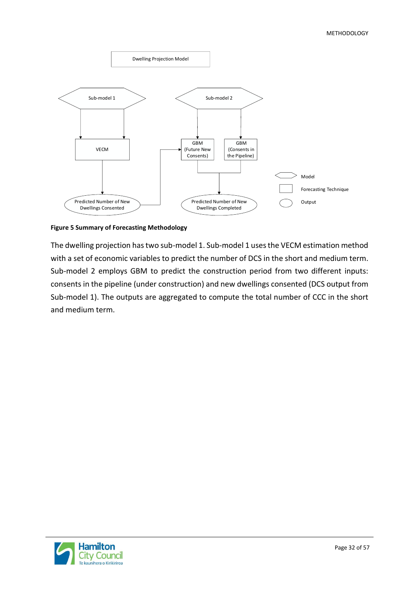

<span id="page-31-0"></span>**Figure 5 Summary of Forecasting Methodology** 

The dwelling projection has two sub-model 1. Sub-model 1 uses the VECM estimation method with a set of economic variables to predict the number of DCS in the short and medium term. Sub-model 2 employs GBM to predict the construction period from two different inputs: consents in the pipeline (under construction) and new dwellings consented (DCS output from Sub-model 1). The outputs are aggregated to compute the total number of CCC in the short and medium term.

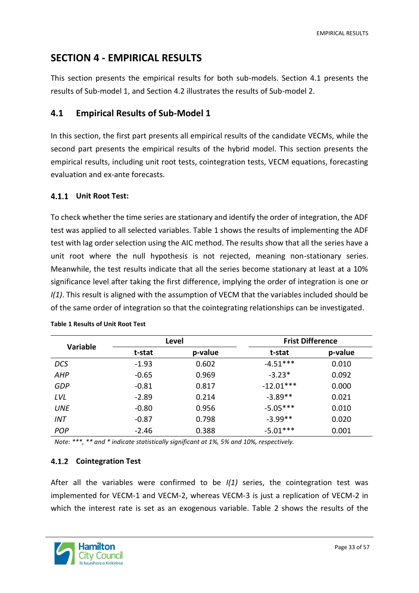# <span id="page-32-0"></span>**SECTION 4 - EMPIRICAL RESULTS**

This section presents the empirical results for both sub-models. Section 4.1 presents the results of Sub-model 1, and Section 4.2 illustrates the results of Sub-model 2.

#### <span id="page-32-1"></span>**4.1 Empirical Results of Sub-Model 1**

In this section, the first part presents all empirical results of the candidate VECMs, while the second part presents the empirical results of the hybrid model. This section presents the empirical results, including unit root tests, cointegration tests, VECM equations, forecasting evaluation and ex-ante forecasts.

#### <span id="page-32-2"></span>**Unit Root Test:**

To check whether the time series are stationary and identify the order of integration, the ADF test was applied to all selected variables. Table 1 shows the results of implementing the ADF test with lag order selection using the AIC method. The results show that all the series have a unit root where the null hypothesis is not rejected, meaning non-stationary series. Meanwhile, the test results indicate that all the series become stationary at least at a 10% significance level after taking the first difference, implying the order of integration is one or *I(1)*. This result is aligned with the assumption of VECM that the variables included should be of the same order of integration so that the cointegrating relationships can be investigated.

| <b>Variable</b> |         | Level   | <b>Frist Difference</b> |         |  |
|-----------------|---------|---------|-------------------------|---------|--|
|                 | t-stat  | p-value | t-stat                  | p-value |  |
| <b>DCS</b>      | $-1.93$ | 0.602   | $-4.51***$              | 0.010   |  |
| AHP             | $-0.65$ | 0.969   | $-3.23*$                | 0.092   |  |
| <b>GDP</b>      | $-0.81$ | 0.817   | $-12.01***$             | 0.000   |  |
| LVL             | $-2.89$ | 0.214   | $-3.89**$               | 0.021   |  |
| <b>UNE</b>      | $-0.80$ | 0.956   | $-5.05***$              | 0.010   |  |
| <b>INT</b>      | $-0.87$ | 0.798   | $-3.99**$               | 0.020   |  |
| POP             | $-2.46$ | 0.388   | $-5.01***$              | 0.001   |  |

<span id="page-32-4"></span>**Table 1 Results of Unit Root Test**

*Note: \*\*\*, \*\* and \* indicate statistically significant at 1%, 5% and 10%, respectively.*

#### <span id="page-32-3"></span>**Cointegration Test**

After all the variables were confirmed to be *I(1)* series, the cointegration test was implemented for VECM-1 and VECM-2, whereas VECM-3 is just a replication of VECM-2 in which the interest rate is set as an exogenous variable. Table 2 shows the results of the

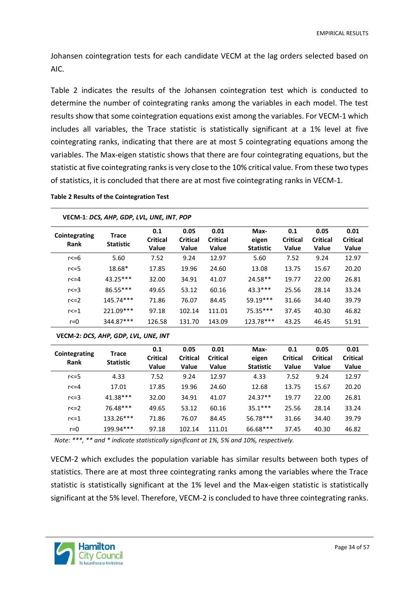Johansen cointegration tests for each candidate VECM at the lag orders selected based on AIC.

Table 2 indicates the results of the Johansen cointegration test which is conducted to determine the number of cointegrating ranks among the variables in each model. The test results show that some cointegration equations exist among the variables. For VECM-1 which includes all variables, the Trace statistic is statistically significant at a 1% level at five cointegrating ranks, indicating that there are at most 5 cointegrating equations among the variables. The Max-eigen statistic shows that there are four cointegrating equations, but the statistic at five cointegrating ranks is very close to the 10% critical value. From these two types of statistics, it is concluded that there are at most five cointegrating ranks in VECM-1.

#### <span id="page-33-0"></span>**Table 2 Results of the Cointegration Test**

| Cointegrating<br>Rank | <b>Trace</b><br><b>Statistic</b> | 0.1<br><b>Critical</b><br>Value | 0.05<br><b>Critical</b><br><b>Value</b> | 0.01<br><b>Critical</b><br><b>Value</b> | Max-<br>eigen<br><b>Statistic</b> | 0.1<br><b>Critical</b><br><b>Value</b> | 0.05<br><b>Critical</b><br><b>Value</b> | 0.01<br><b>Critical</b><br>Value |
|-----------------------|----------------------------------|---------------------------------|-----------------------------------------|-----------------------------------------|-----------------------------------|----------------------------------------|-----------------------------------------|----------------------------------|
| r<=6                  | 5.60                             | 7.52                            | 9.24                                    | 12.97                                   | 5.60                              | 7.52                                   | 9.24                                    | 12.97                            |
| $r \leq 5$            | 18.68*                           | 17.85                           | 19.96                                   | 24.60                                   | 13.08                             | 13.75                                  | 15.67                                   | 20.20                            |
| $r < = 4$             | $43.25***$                       | 32.00                           | 34.91                                   | 41.07                                   | $24.58**$                         | 19.77                                  | 22.00                                   | 26.81                            |
| $r < = 3$             | 86.55***                         | 49.65                           | 53.12                                   | 60.16                                   | $43.3***$                         | 25.56                                  | 28.14                                   | 33.24                            |
| r < 2                 | 145.74***                        | 71.86                           | 76.07                                   | 84.45                                   | 59.19***                          | 31.66                                  | 34.40                                   | 39.79                            |
| r < 1                 | 221.09***                        | 97.18                           | 102.14                                  | 111.01                                  | 75.35***                          | 37.45                                  | 40.30                                   | 46.82                            |
| $r = 0$               | 344.87***                        | 126.58                          | 131.70                                  | 143.09                                  | 123.78***                         | 43.25                                  | 46.45                                   | 51.91                            |

**VECM-1**: *DCS, AHP, GDP, LVL, UNE, INT*, *POP*

**VECM-2:** *DCS, AHP, GDP, LVL, UNE, INT*

| Cointegrating<br>Rank | Trace<br><b>Statistic</b> | 0.1<br><b>Critical</b><br>Value | 0.05<br><b>Critical</b><br>Value | 0.01<br><b>Critical</b><br><b>Value</b> | Max-<br>eigen<br><b>Statistic</b> | 0.1<br><b>Critical</b><br>Value | 0.05<br><b>Critical</b><br><b>Value</b> | 0.01<br><b>Critical</b><br>Value |
|-----------------------|---------------------------|---------------------------------|----------------------------------|-----------------------------------------|-----------------------------------|---------------------------------|-----------------------------------------|----------------------------------|
| $r \leq 5$            | 4.33                      | 7.52                            | 9.24                             | 12.97                                   | 4.33                              | 7.52                            | 9.24                                    | 12.97                            |
| $r < = 4$             | 17.01                     | 17.85                           | 19.96                            | 24.60                                   | 12.68                             | 13.75                           | 15.67                                   | 20.20                            |
| $r < = 3$             | $41.38***$                | 32.00                           | 34.91                            | 41.07                                   | $24.37**$                         | 19.77                           | 22.00                                   | 26.81                            |
| $r < = 2$             | 76.48***                  | 49.65                           | 53.12                            | 60.16                                   | $35.1***$                         | 25.56                           | 28.14                                   | 33.24                            |
| r < 1                 | $133.26***$               | 71.86                           | 76.07                            | 84.45                                   | 56.78***                          | 31.66                           | 34.40                                   | 39.79                            |
| $r = 0$               | 199.94***                 | 97.18                           | 102.14                           | 111.01                                  | 66.68***                          | 37.45                           | 40.30                                   | 46.82                            |

*Note: \*\*\*, \*\* and \* indicate statistically significant at 1%, 5% and 10%, respectively.*

VECM-2 which excludes the population variable has similar results between both types of statistics. There are at most three cointegrating ranks among the variables where the Trace statistic is statistically significant at the 1% level and the Max-eigen statistic is statistically significant at the 5% level. Therefore, VECM-2 is concluded to have three cointegrating ranks.

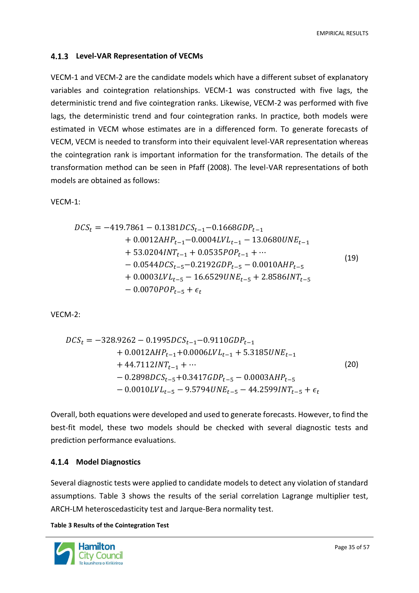#### <span id="page-34-0"></span>**Level-VAR Representation of VECMs**

VECM-1 and VECM-2 are the candidate models which have a different subset of explanatory variables and cointegration relationships. VECM-1 was constructed with five lags, the deterministic trend and five cointegration ranks. Likewise, VECM-2 was performed with five lags, the deterministic trend and four cointegration ranks. In practice, both models were estimated in VECM whose estimates are in a differenced form. To generate forecasts of VECM, VECM is needed to transform into their equivalent level-VAR representation whereas the cointegration rank is important information for the transformation. The details of the transformation method can be seen in Pfaff (2008). The level-VAR representations of both models are obtained as follows:

VECM-1:

$$
DCS_t = -419.7861 - 0.1381DCS_{t-1} - 0.1668GDP_{t-1} + 0.0012AHP_{t-1} - 0.0004LVL_{t-1} - 13.0680UNE_{t-1} + 53.0204INT_{t-1} + 0.0535POP_{t-1} + \cdots - 0.0544DCS_{t-5} - 0.2192GDP_{t-5} - 0.0010AHP_{t-5} + 0.0003LVL_{t-5} - 16.6529UNE_{t-5} + 2.8586INT_{t-5} - 0.0070POP_{t-5} + \epsilon_t
$$
\n(19)

VECM-2:

$$
DCS_t = -328.9262 - 0.1995DCS_{t-1} - 0.9110GDP_{t-1} + 0.0012AHP_{t-1} + 0.0006LVL_{t-1} + 5.3185UNE_{t-1} + 44.7112INT_{t-1} + \cdots
$$
\n
$$
- 0.2898DCS_{t-5} + 0.3417GDP_{t-5} - 0.0003AHP_{t-5} - 0.0010LVL_{t-5} - 9.5794UNE_{t-5} - 44.2599INT_{t-5} + \epsilon_t
$$
\n(20)

Overall, both equations were developed and used to generate forecasts. However, to find the best-fit model, these two models should be checked with several diagnostic tests and prediction performance evaluations.

#### <span id="page-34-1"></span>**Model Diagnostics**

Several diagnostic tests were applied to candidate models to detect any violation of standard assumptions. Table 3 shows the results of the serial correlation Lagrange multiplier test, ARCH-LM heteroscedasticity test and Jarque-Bera normality test.

<span id="page-34-2"></span>**Table 3 Results of the Cointegration Test**

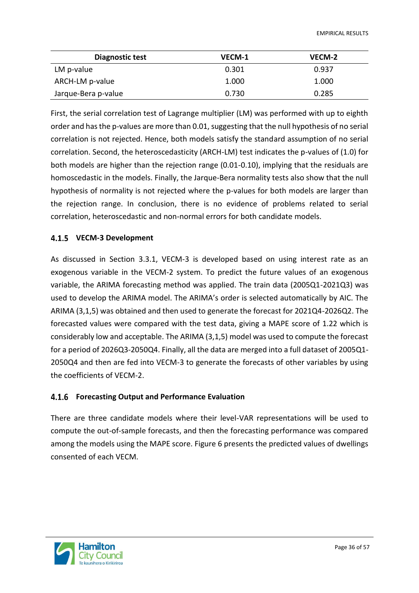| Diagnostic test     | VECM-1 | VECM-2 |
|---------------------|--------|--------|
| LM p-value          | 0.301  | 0.937  |
| ARCH-LM p-value     | 1.000  | 1.000  |
| Jarque-Bera p-value | 0.730  | 0.285  |

First, the serial correlation test of Lagrange multiplier (LM) was performed with up to eighth order and has the p-values are more than 0.01, suggesting that the null hypothesis of no serial correlation is not rejected. Hence, both models satisfy the standard assumption of no serial correlation. Second, the heteroscedasticity (ARCH-LM) test indicates the p-values of (1.0) for both models are higher than the rejection range (0.01-0.10), implying that the residuals are homoscedastic in the models. Finally, the Jarque-Bera normality tests also show that the null hypothesis of normality is not rejected where the p-values for both models are larger than the rejection range. In conclusion, there is no evidence of problems related to serial correlation, heteroscedastic and non-normal errors for both candidate models.

#### <span id="page-35-0"></span>**VECM-3 Development**

As discussed in Section 3.3.1, VECM-3 is developed based on using interest rate as an exogenous variable in the VECM-2 system. To predict the future values of an exogenous variable, the ARIMA forecasting method was applied. The train data (2005Q1-2021Q3) was used to develop the ARIMA model. The ARIMA's order is selected automatically by AIC. The ARIMA (3,1,5) was obtained and then used to generate the forecast for 2021Q4-2026Q2. The forecasted values were compared with the test data, giving a MAPE score of 1.22 which is considerably low and acceptable. The ARIMA (3,1,5) model was used to compute the forecast for a period of 2026Q3-2050Q4. Finally, all the data are merged into a full dataset of 2005Q1- 2050Q4 and then are fed into VECM-3 to generate the forecasts of other variables by using the coefficients of VECM-2.

#### <span id="page-35-1"></span>**Forecasting Output and Performance Evaluation**

There are three candidate models where their level-VAR representations will be used to compute the out-of-sample forecasts, and then the forecasting performance was compared among the models using the MAPE score. Figure 6 presents the predicted values of dwellings consented of each VECM.

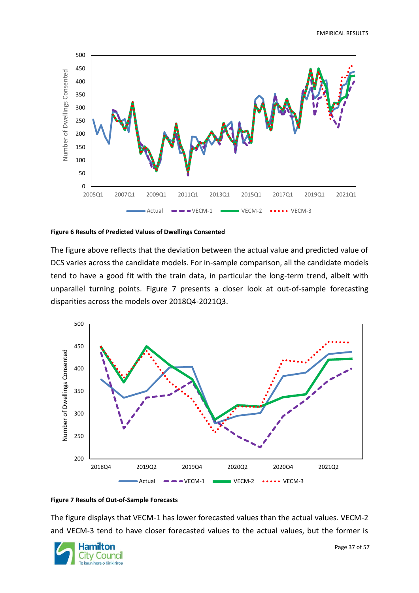

#### <span id="page-36-0"></span>**Figure 6 Results of Predicted Values of Dwellings Consented**

The figure above reflects that the deviation between the actual value and predicted value of DCS varies across the candidate models. For in-sample comparison, all the candidate models tend to have a good fit with the train data, in particular the long-term trend, albeit with unparallel turning points. Figure 7 presents a closer look at out-of-sample forecasting disparities across the models over 2018Q4-2021Q3.



#### <span id="page-36-1"></span>**Figure 7 Results of Out-of-Sample Forecasts**

The figure displays that VECM-1 has lower forecasted values than the actual values. VECM-2 and VECM-3 tend to have closer forecasted values to the actual values, but the former is

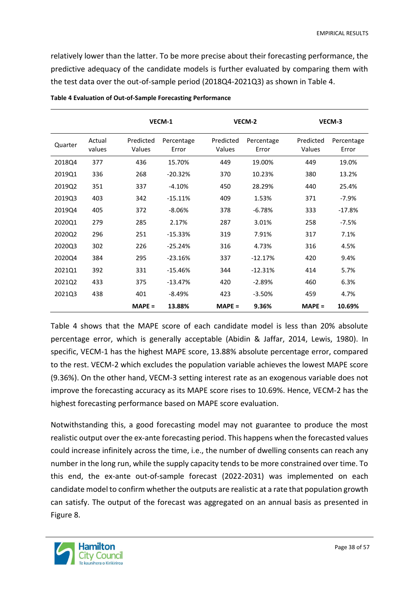relatively lower than the latter. To be more precise about their forecasting performance, the predictive adequacy of the candidate models is further evaluated by comparing them with the test data over the out-of-sample period (2018Q4-2021Q3) as shown in Table 4.

|         |                  |                     | VECM-1              |                     | VECM-2              |                     | VECM-3              |
|---------|------------------|---------------------|---------------------|---------------------|---------------------|---------------------|---------------------|
| Quarter | Actual<br>values | Predicted<br>Values | Percentage<br>Error | Predicted<br>Values | Percentage<br>Error | Predicted<br>Values | Percentage<br>Error |
| 2018Q4  | 377              | 436                 | 15.70%              | 449                 | 19.00%              | 449                 | 19.0%               |
| 2019Q1  | 336              | 268                 | $-20.32%$           | 370                 | 10.23%              | 380                 | 13.2%               |
| 2019Q2  | 351              | 337                 | $-4.10%$            | 450                 | 28.29%              | 440                 | 25.4%               |
| 2019Q3  | 403              | 342                 | $-15.11%$           | 409                 | 1.53%               | 371                 | $-7.9%$             |
| 2019Q4  | 405              | 372                 | $-8.06%$            | 378                 | $-6.78%$            | 333                 | $-17.8%$            |
| 2020Q1  | 279              | 285                 | 2.17%               | 287                 | 3.01%               | 258                 | $-7.5%$             |
| 2020Q2  | 296              | 251                 | $-15.33%$           | 319                 | 7.91%               | 317                 | 7.1%                |
| 2020Q3  | 302              | 226                 | $-25.24%$           | 316                 | 4.73%               | 316                 | 4.5%                |
| 2020Q4  | 384              | 295                 | $-23.16%$           | 337                 | $-12.17%$           | 420                 | 9.4%                |
| 2021Q1  | 392              | 331                 | $-15.46%$           | 344                 | $-12.31%$           | 414                 | 5.7%                |
| 2021Q2  | 433              | 375                 | $-13.47%$           | 420                 | $-2.89%$            | 460                 | 6.3%                |
| 2021Q3  | 438              | 401                 | $-8.49%$            | 423                 | $-3.50%$            | 459                 | 4.7%                |
|         |                  | $MAPE =$            | 13.88%              | $MAPE =$            | 9.36%               | $MAPE =$            | 10.69%              |

<span id="page-37-0"></span>**Table 4 Evaluation of Out-of-Sample Forecasting Performance**

Table 4 shows that the MAPE score of each candidate model is less than 20% absolute percentage error, which is generally acceptable (Abidin & Jaffar, 2014, Lewis, 1980). In specific, VECM-1 has the highest MAPE score, 13.88% absolute percentage error, compared to the rest. VECM-2 which excludes the population variable achieves the lowest MAPE score (9.36%). On the other hand, VECM-3 setting interest rate as an exogenous variable does not improve the forecasting accuracy as its MAPE score rises to 10.69%. Hence, VECM-2 has the highest forecasting performance based on MAPE score evaluation.

Notwithstanding this, a good forecasting model may not guarantee to produce the most realistic output over the ex-ante forecasting period. This happens when the forecasted values could increase infinitely across the time, i.e., the number of dwelling consents can reach any number in the long run, while the supply capacity tends to be more constrained over time. To this end, the ex-ante out-of-sample forecast (2022-2031) was implemented on each candidate model to confirm whether the outputs are realistic at a rate that population growth can satisfy. The output of the forecast was aggregated on an annual basis as presented in Figure 8.

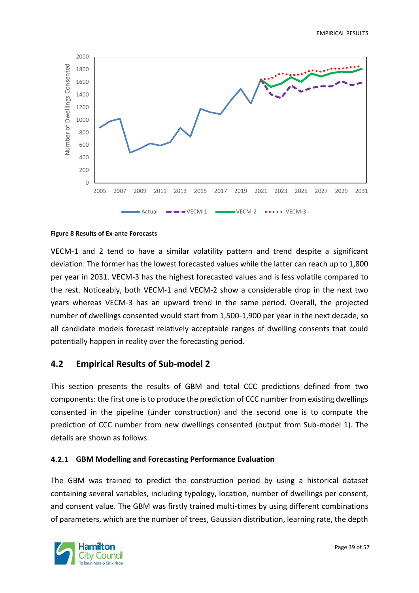

#### <span id="page-38-2"></span>**Figure 8 Results of Ex-ante Forecasts**

VECM-1 and 2 tend to have a similar volatility pattern and trend despite a significant deviation. The former has the lowest forecasted values while the latter can reach up to 1,800 per year in 2031. VECM-3 has the highest forecasted values and is less volatile compared to the rest. Noticeably, both VECM-1 and VECM-2 show a considerable drop in the next two years whereas VECM-3 has an upward trend in the same period. Overall, the projected number of dwellings consented would start from 1,500-1,900 per year in the next decade, so all candidate models forecast relatively acceptable ranges of dwelling consents that could potentially happen in reality over the forecasting period.

#### <span id="page-38-0"></span>**4.2 Empirical Results of Sub-model 2**

This section presents the results of GBM and total CCC predictions defined from two components: the first one is to produce the prediction of CCC number from existing dwellings consented in the pipeline (under construction) and the second one is to compute the prediction of CCC number from new dwellings consented (output from Sub-model 1). The details are shown as follows.

#### <span id="page-38-1"></span>**GBM Modelling and Forecasting Performance Evaluation**

The GBM was trained to predict the construction period by using a historical dataset containing several variables, including typology, location, number of dwellings per consent, and consent value. The GBM was firstly trained multi-times by using different combinations of parameters, which are the number of trees, Gaussian distribution, learning rate, the depth

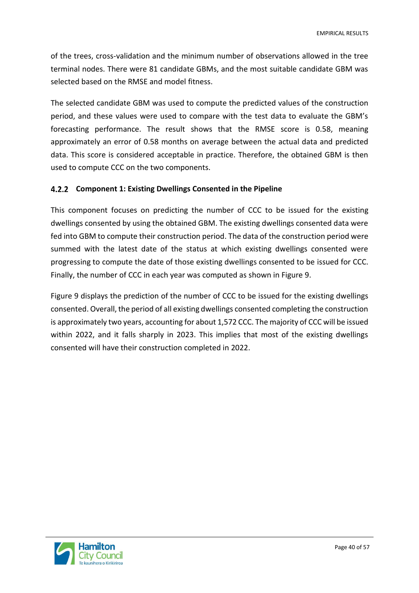of the trees, cross-validation and the minimum number of observations allowed in the tree terminal nodes. There were 81 candidate GBMs, and the most suitable candidate GBM was selected based on the RMSE and model fitness.

The selected candidate GBM was used to compute the predicted values of the construction period, and these values were used to compare with the test data to evaluate the GBM's forecasting performance. The result shows that the RMSE score is 0.58, meaning approximately an error of 0.58 months on average between the actual data and predicted data. This score is considered acceptable in practice. Therefore, the obtained GBM is then used to compute CCC on the two components.

#### <span id="page-39-0"></span>**Component 1: Existing Dwellings Consented in the Pipeline**

This component focuses on predicting the number of CCC to be issued for the existing dwellings consented by using the obtained GBM. The existing dwellings consented data were fed into GBM to compute their construction period. The data of the construction period were summed with the latest date of the status at which existing dwellings consented were progressing to compute the date of those existing dwellings consented to be issued for CCC. Finally, the number of CCC in each year was computed as shown in Figure 9.

Figure 9 displays the prediction of the number of CCC to be issued for the existing dwellings consented. Overall, the period of all existing dwellings consented completing the construction is approximately two years, accounting for about 1,572 CCC. The majority of CCC will be issued within 2022, and it falls sharply in 2023. This implies that most of the existing dwellings consented will have their construction completed in 2022.

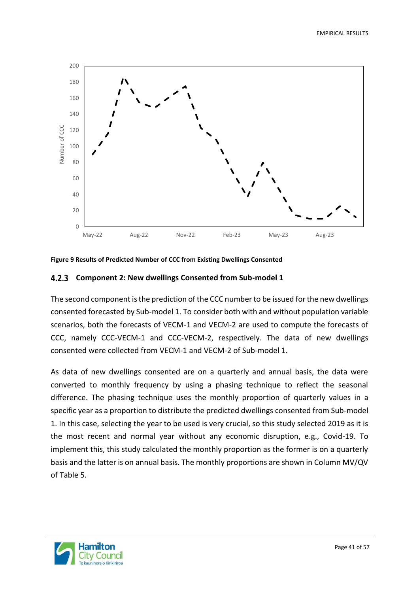

<span id="page-40-1"></span>

#### <span id="page-40-0"></span>**Component 2: New dwellings Consented from Sub-model 1**

The second component is the prediction of the CCC number to be issued for the new dwellings consented forecasted by Sub-model 1. To consider both with and without population variable scenarios, both the forecasts of VECM-1 and VECM-2 are used to compute the forecasts of CCC, namely CCC-VECM-1 and CCC-VECM-2, respectively. The data of new dwellings consented were collected from VECM-1 and VECM-2 of Sub-model 1.

As data of new dwellings consented are on a quarterly and annual basis, the data were converted to monthly frequency by using a phasing technique to reflect the seasonal difference. The phasing technique uses the monthly proportion of quarterly values in a specific year as a proportion to distribute the predicted dwellings consented from Sub-model 1. In this case, selecting the year to be used is very crucial, so this study selected 2019 as it is the most recent and normal year without any economic disruption, e.g., Covid-19. To implement this, this study calculated the monthly proportion as the former is on a quarterly basis and the latter is on annual basis. The monthly proportions are shown in Column MV/QV of Table 5.

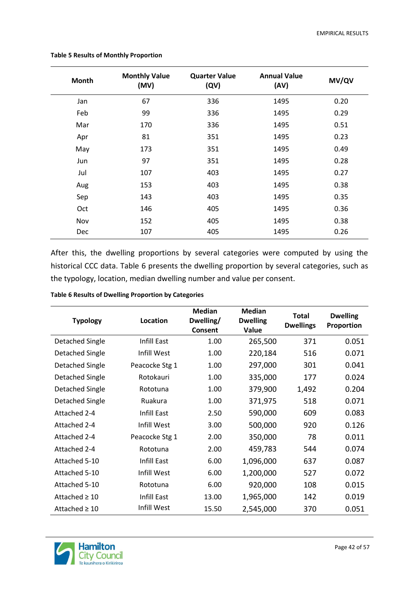| Month | <b>Monthly Value</b><br>(MV) | <b>Quarter Value</b><br>(QV) | <b>Annual Value</b><br>(AV) | MV/QV |
|-------|------------------------------|------------------------------|-----------------------------|-------|
| Jan   | 67                           | 336                          | 1495                        | 0.20  |
| Feb   | 99                           | 336                          | 1495                        | 0.29  |
| Mar   | 170                          | 336                          | 1495                        | 0.51  |
| Apr   | 81                           | 351                          | 1495                        | 0.23  |
| May   | 173                          | 351                          | 1495                        | 0.49  |
| Jun   | 97                           | 351                          | 1495                        | 0.28  |
| Jul   | 107                          | 403                          | 1495                        | 0.27  |
| Aug   | 153                          | 403                          | 1495                        | 0.38  |
| Sep   | 143                          | 403                          | 1495                        | 0.35  |
| Oct   | 146                          | 405                          | 1495                        | 0.36  |
| Nov   | 152                          | 405                          | 1495                        | 0.38  |
| Dec   | 107                          | 405                          | 1495                        | 0.26  |

<span id="page-41-0"></span>**Table 5 Results of Monthly Proportion** 

After this, the dwelling proportions by several categories were computed by using the historical CCC data. Table 6 presents the dwelling proportion by several categories, such as the typology, location, median dwelling number and value per consent.

<span id="page-41-1"></span>

| <b>Typology</b>    | Location       | <b>Median</b><br>Dwelling/<br>Consent | <b>Median</b><br><b>Dwelling</b><br>Value | Total<br><b>Dwellings</b> | <b>Dwelling</b><br>Proportion |
|--------------------|----------------|---------------------------------------|-------------------------------------------|---------------------------|-------------------------------|
| Detached Single    | Infill East    | 1.00                                  | 265,500                                   | 371                       | 0.051                         |
| Detached Single    | Infill West    | 1.00                                  | 220,184                                   | 516                       | 0.071                         |
| Detached Single    | Peacocke Stg 1 | 1.00                                  | 297,000                                   | 301                       | 0.041                         |
| Detached Single    | Rotokauri      | 1.00                                  | 335,000                                   | 177                       | 0.024                         |
| Detached Single    | Rototuna       | 1.00                                  | 379,900                                   | 1,492                     | 0.204                         |
| Detached Single    | Ruakura        | 1.00                                  | 371,975                                   | 518                       | 0.071                         |
| Attached 2-4       | Infill East    | 2.50                                  | 590,000                                   | 609                       | 0.083                         |
| Attached 2-4       | Infill West    | 3.00                                  | 500,000                                   | 920                       | 0.126                         |
| Attached 2-4       | Peacocke Stg 1 | 2.00                                  | 350,000                                   | 78                        | 0.011                         |
| Attached 2-4       | Rototuna       | 2.00                                  | 459,783                                   | 544                       | 0.074                         |
| Attached 5-10      | Infill East    | 6.00                                  | 1,096,000                                 | 637                       | 0.087                         |
| Attached 5-10      | Infill West    | 6.00                                  | 1,200,000                                 | 527                       | 0.072                         |
| Attached 5-10      | Rototuna       | 6.00                                  | 920,000                                   | 108                       | 0.015                         |
| Attached $\geq 10$ | Infill East    | 13.00                                 | 1,965,000                                 | 142                       | 0.019                         |
| Attached $\geq 10$ | Infill West    | 15.50                                 | 2,545,000                                 | 370                       | 0.051                         |

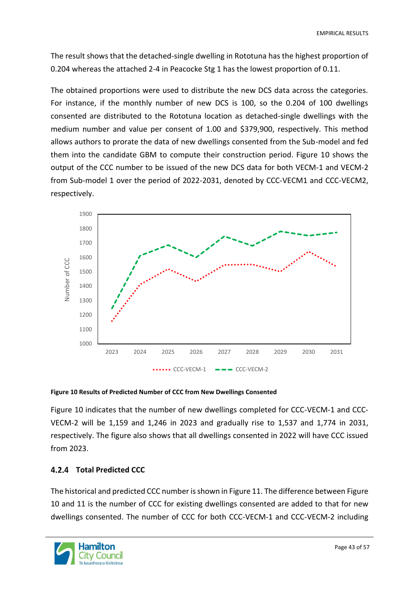The result shows that the detached-single dwelling in Rototuna has the highest proportion of 0.204 whereas the attached 2-4 in Peacocke Stg 1 has the lowest proportion of 0.11.

The obtained proportions were used to distribute the new DCS data across the categories. For instance, if the monthly number of new DCS is 100, so the 0.204 of 100 dwellings consented are distributed to the Rototuna location as detached-single dwellings with the medium number and value per consent of 1.00 and \$379,900, respectively. This method allows authors to prorate the data of new dwellings consented from the Sub-model and fed them into the candidate GBM to compute their construction period. Figure 10 shows the output of the CCC number to be issued of the new DCS data for both VECM-1 and VECM-2 from Sub-model 1 over the period of 2022-2031, denoted by CCC-VECM1 and CCC-VECM2, respectively.



#### <span id="page-42-1"></span>**Figure 10 Results of Predicted Number of CCC from New Dwellings Consented**

Figure 10 indicates that the number of new dwellings completed for CCC-VECM-1 and CCC-VECM-2 will be 1,159 and 1,246 in 2023 and gradually rise to 1,537 and 1,774 in 2031, respectively. The figure also shows that all dwellings consented in 2022 will have CCC issued from 2023.

#### <span id="page-42-0"></span>**Total Predicted CCC**

The historical and predicted CCC number is shown in Figure 11. The difference between Figure 10 and 11 is the number of CCC for existing dwellings consented are added to that for new dwellings consented. The number of CCC for both CCC-VECM-1 and CCC-VECM-2 including

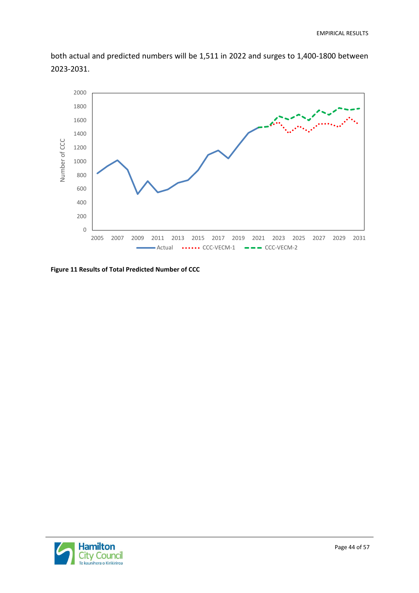both actual and predicted numbers will be 1,511 in 2022 and surges to 1,400-1800 between 2023-2031.



<span id="page-43-0"></span>**Figure 11 Results of Total Predicted Number of CCC** 

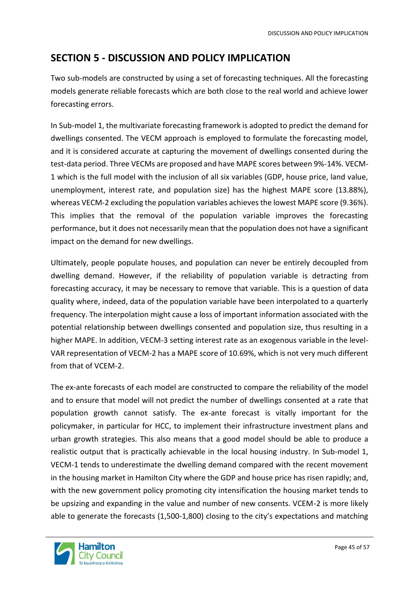# <span id="page-44-0"></span>**SECTION 5 - DISCUSSION AND POLICY IMPLICATION**

Two sub-models are constructed by using a set of forecasting techniques. All the forecasting models generate reliable forecasts which are both close to the real world and achieve lower forecasting errors.

In Sub-model 1, the multivariate forecasting framework is adopted to predict the demand for dwellings consented. The VECM approach is employed to formulate the forecasting model, and it is considered accurate at capturing the movement of dwellings consented during the test-data period. Three VECMs are proposed and have MAPE scores between 9%-14%. VECM-1 which is the full model with the inclusion of all six variables (GDP, house price, land value, unemployment, interest rate, and population size) has the highest MAPE score (13.88%), whereas VECM-2 excluding the population variables achieves the lowest MAPE score (9.36%). This implies that the removal of the population variable improves the forecasting performance, but it does not necessarily mean that the population does not have a significant impact on the demand for new dwellings.

Ultimately, people populate houses, and population can never be entirely decoupled from dwelling demand. However, if the reliability of population variable is detracting from forecasting accuracy, it may be necessary to remove that variable. This is a question of data quality where, indeed, data of the population variable have been interpolated to a quarterly frequency. The interpolation might cause a loss of important information associated with the potential relationship between dwellings consented and population size, thus resulting in a higher MAPE. In addition, VECM-3 setting interest rate as an exogenous variable in the level-VAR representation of VECM-2 has a MAPE score of 10.69%, which is not very much different from that of VCEM-2.

The ex-ante forecasts of each model are constructed to compare the reliability of the model and to ensure that model will not predict the number of dwellings consented at a rate that population growth cannot satisfy. The ex-ante forecast is vitally important for the policymaker, in particular for HCC, to implement their infrastructure investment plans and urban growth strategies. This also means that a good model should be able to produce a realistic output that is practically achievable in the local housing industry. In Sub-model 1, VECM-1 tends to underestimate the dwelling demand compared with the recent movement in the housing market in Hamilton City where the GDP and house price has risen rapidly; and, with the new government policy promoting city intensification the housing market tends to be upsizing and expanding in the value and number of new consents. VCEM-2 is more likely able to generate the forecasts (1,500-1,800) closing to the city's expectations and matching

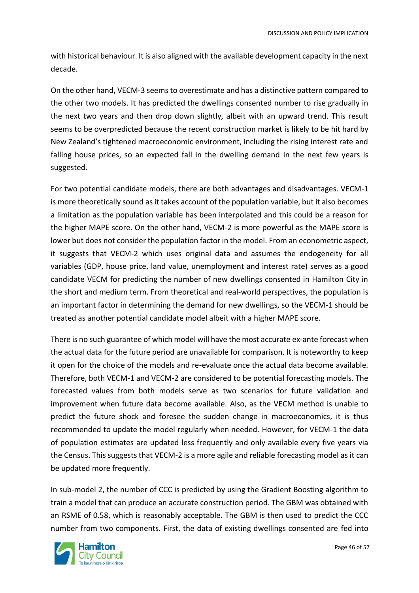with historical behaviour. It is also aligned with the available development capacity in the next decade.

On the other hand, VECM-3 seems to overestimate and has a distinctive pattern compared to the other two models. It has predicted the dwellings consented number to rise gradually in the next two years and then drop down slightly, albeit with an upward trend. This result seems to be overpredicted because the recent construction market is likely to be hit hard by New Zealand's tightened macroeconomic environment, including the rising interest rate and falling house prices, so an expected fall in the dwelling demand in the next few years is suggested.

For two potential candidate models, there are both advantages and disadvantages. VECM-1 is more theoretically sound as it takes account of the population variable, but it also becomes a limitation as the population variable has been interpolated and this could be a reason for the higher MAPE score. On the other hand, VECM-2 is more powerful as the MAPE score is lower but does not consider the population factor in the model. From an econometric aspect, it suggests that VECM-2 which uses original data and assumes the endogeneity for all variables (GDP, house price, land value, unemployment and interest rate) serves as a good candidate VECM for predicting the number of new dwellings consented in Hamilton City in the short and medium term. From theoretical and real-world perspectives, the population is an important factor in determining the demand for new dwellings, so the VECM-1 should be treated as another potential candidate model albeit with a higher MAPE score.

There is no such guarantee of which model will have the most accurate ex-ante forecast when the actual data for the future period are unavailable for comparison. It is noteworthy to keep it open for the choice of the models and re-evaluate once the actual data become available. Therefore, both VECM-1 and VECM-2 are considered to be potential forecasting models. The forecasted values from both models serve as two scenarios for future validation and improvement when future data become available. Also, as the VECM method is unable to predict the future shock and foresee the sudden change in macroeconomics, it is thus recommended to update the model regularly when needed. However, for VECM-1 the data of population estimates are updated less frequently and only available every five years via the Census. This suggests that VECM-2 is a more agile and reliable forecasting model as it can be updated more frequently.

In sub-model 2, the number of CCC is predicted by using the Gradient Boosting algorithm to train a model that can produce an accurate construction period. The GBM was obtained with an RSME of 0.58, which is reasonably acceptable. The GBM is then used to predict the CCC number from two components. First, the data of existing dwellings consented are fed into

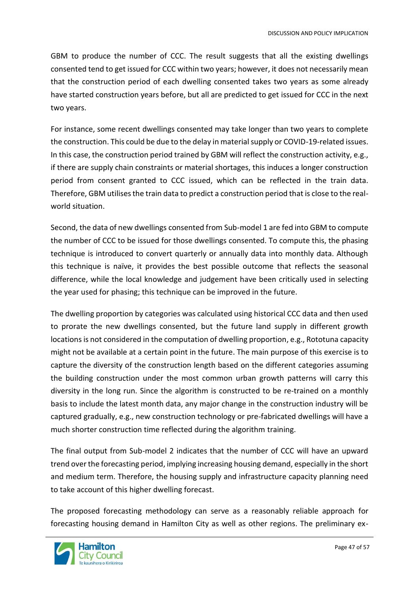GBM to produce the number of CCC. The result suggests that all the existing dwellings consented tend to get issued for CCC within two years; however, it does not necessarily mean that the construction period of each dwelling consented takes two years as some already have started construction years before, but all are predicted to get issued for CCC in the next two years.

For instance, some recent dwellings consented may take longer than two years to complete the construction. This could be due to the delay in material supply or COVID-19-related issues. In this case, the construction period trained by GBM will reflect the construction activity, e.g., if there are supply chain constraints or material shortages, this induces a longer construction period from consent granted to CCC issued, which can be reflected in the train data. Therefore, GBM utilises the train data to predict a construction period that is close to the realworld situation.

Second, the data of new dwellings consented from Sub-model 1 are fed into GBM to compute the number of CCC to be issued for those dwellings consented. To compute this, the phasing technique is introduced to convert quarterly or annually data into monthly data. Although this technique is naïve, it provides the best possible outcome that reflects the seasonal difference, while the local knowledge and judgement have been critically used in selecting the year used for phasing; this technique can be improved in the future.

The dwelling proportion by categories was calculated using historical CCC data and then used to prorate the new dwellings consented, but the future land supply in different growth locations is not considered in the computation of dwelling proportion, e.g., Rototuna capacity might not be available at a certain point in the future. The main purpose of this exercise is to capture the diversity of the construction length based on the different categories assuming the building construction under the most common urban growth patterns will carry this diversity in the long run. Since the algorithm is constructed to be re-trained on a monthly basis to include the latest month data, any major change in the construction industry will be captured gradually, e.g., new construction technology or pre-fabricated dwellings will have a much shorter construction time reflected during the algorithm training.

The final output from Sub-model 2 indicates that the number of CCC will have an upward trend over the forecasting period, implying increasing housing demand, especially in the short and medium term. Therefore, the housing supply and infrastructure capacity planning need to take account of this higher dwelling forecast.

The proposed forecasting methodology can serve as a reasonably reliable approach for forecasting housing demand in Hamilton City as well as other regions. The preliminary ex-

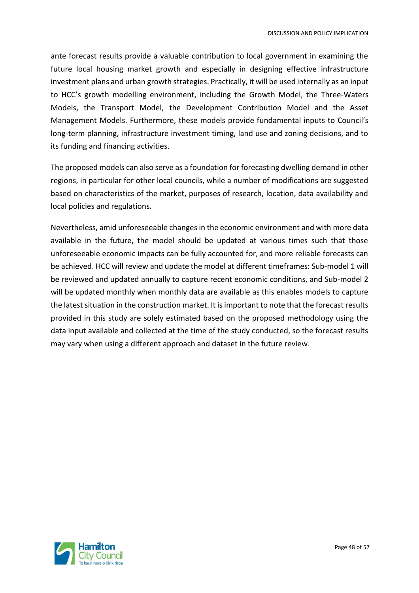ante forecast results provide a valuable contribution to local government in examining the future local housing market growth and especially in designing effective infrastructure investment plans and urban growth strategies. Practically, it will be used internally as an input to HCC's growth modelling environment, including the Growth Model, the Three-Waters Models, the Transport Model, the Development Contribution Model and the Asset Management Models. Furthermore, these models provide fundamental inputs to Council's long-term planning, infrastructure investment timing, land use and zoning decisions, and to its funding and financing activities.

The proposed models can also serve as a foundation for forecasting dwelling demand in other regions, in particular for other local councils, while a number of modifications are suggested based on characteristics of the market, purposes of research, location, data availability and local policies and regulations.

Nevertheless, amid unforeseeable changes in the economic environment and with more data available in the future, the model should be updated at various times such that those unforeseeable economic impacts can be fully accounted for, and more reliable forecasts can be achieved. HCC will review and update the model at different timeframes: Sub-model 1 will be reviewed and updated annually to capture recent economic conditions, and Sub-model 2 will be updated monthly when monthly data are available as this enables models to capture the latest situation in the construction market. It is important to note that the forecast results provided in this study are solely estimated based on the proposed methodology using the data input available and collected at the time of the study conducted, so the forecast results may vary when using a different approach and dataset in the future review.

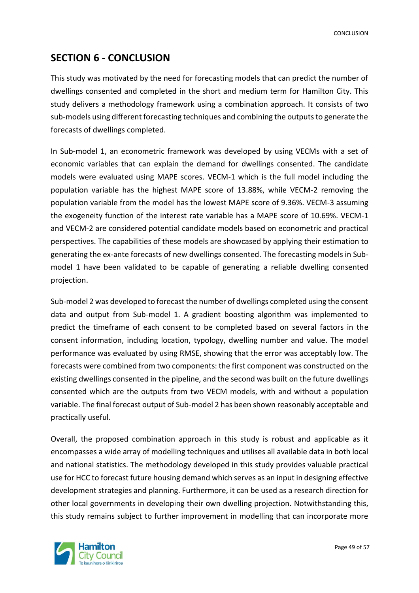# <span id="page-48-0"></span>**SECTION 6 - CONCLUSION**

This study was motivated by the need for forecasting models that can predict the number of dwellings consented and completed in the short and medium term for Hamilton City. This study delivers a methodology framework using a combination approach. It consists of two sub-models using different forecasting techniques and combining the outputs to generate the forecasts of dwellings completed.

In Sub-model 1, an econometric framework was developed by using VECMs with a set of economic variables that can explain the demand for dwellings consented. The candidate models were evaluated using MAPE scores. VECM-1 which is the full model including the population variable has the highest MAPE score of 13.88%, while VECM-2 removing the population variable from the model has the lowest MAPE score of 9.36%. VECM-3 assuming the exogeneity function of the interest rate variable has a MAPE score of 10.69%. VECM-1 and VECM-2 are considered potential candidate models based on econometric and practical perspectives. The capabilities of these models are showcased by applying their estimation to generating the ex-ante forecasts of new dwellings consented. The forecasting models in Submodel 1 have been validated to be capable of generating a reliable dwelling consented projection.

Sub-model 2 was developed to forecast the number of dwellings completed using the consent data and output from Sub-model 1. A gradient boosting algorithm was implemented to predict the timeframe of each consent to be completed based on several factors in the consent information, including location, typology, dwelling number and value. The model performance was evaluated by using RMSE, showing that the error was acceptably low. The forecasts were combined from two components: the first component was constructed on the existing dwellings consented in the pipeline, and the second was built on the future dwellings consented which are the outputs from two VECM models, with and without a population variable. The final forecast output of Sub-model 2 has been shown reasonably acceptable and practically useful.

Overall, the proposed combination approach in this study is robust and applicable as it encompasses a wide array of modelling techniques and utilises all available data in both local and national statistics. The methodology developed in this study provides valuable practical use for HCC to forecast future housing demand which serves as an input in designing effective development strategies and planning. Furthermore, it can be used as a research direction for other local governments in developing their own dwelling projection. Notwithstanding this, this study remains subject to further improvement in modelling that can incorporate more

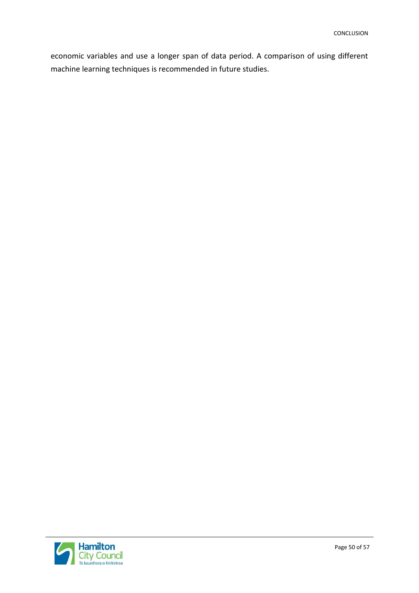economic variables and use a longer span of data period. A comparison of using different machine learning techniques is recommended in future studies.

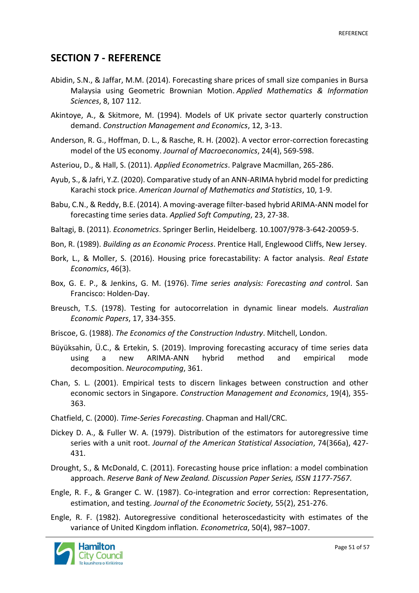#### **SECTION 7 - REFERENCE**

- Abidin, S.N., & Jaffar, M.M. (2014). Forecasting share prices of small size companies in Bursa Malaysia using Geometric Brownian Motion. *Applied Mathematics & Information Sciences*, 8, 107 112.
- Akintoye, A., & Skitmore, M. (1994). Models of UK private sector quarterly construction demand. *Construction Management and Economics*, 12, 3-13.
- Anderson, R. G., Hoffman, D. L., & Rasche, R. H. (2002). A vector error-correction forecasting model of the US economy. *Journal of Macroeconomics*, 24(4), 569-598.
- Asteriou, D., & Hall, S. (2011). *Applied Econometrics*. Palgrave Macmillan, 265-286.
- Ayub, S., & Jafri, Y.Z. (2020). Comparative study of an ANN-ARIMA hybrid model for predicting Karachi stock price. *American Journal of Mathematics and Statistics*, 10, 1-9.
- Babu, C.N., & Reddy, B.E. (2014). A moving-average filter-based hybrid ARIMA-ANN model for forecasting time series data. *Applied Soft Computing*, 23, 27-38.
- Baltagi, B. (2011). *Econometrics*. Springer Berlin, Heidelberg. 10.1007/978-3-642-20059-5.
- Bon, R. (1989). *Building as an Economic Process*. Prentice Hall, Englewood Cliffs, New Jersey.
- Bork, L., & Moller, S. (2016). Housing price forecastability: A factor analysis. *Real Estate Economics*, 46(3).
- Box, G. E. P., & Jenkins, G. M. (1976). *Time series analysis: Forecasting and contr*ol. San Francisco: Holden-Day.
- Breusch, T.S. (1978). Testing for autocorrelation in dynamic linear models. *Australian Economic Papers*, 17, 334-355.
- Briscoe, G. (1988). *The Economics of the Construction Industry*. Mitchell, London.
- Büyüksahin, Ü.C., & Ertekin, S. (2019). Improving forecasting accuracy of time series data using a new ARIMA-ANN hybrid method and empirical mode decomposition. *Neurocomputing*, 361.
- Chan, S. L. (2001). Empirical tests to discern linkages between construction and other economic sectors in Singapore. *Construction Management and Economics*, 19(4), 355- 363.
- Chatfield, C. (2000). *Time-Series Forecasting*. Chapman and Hall/CRC.
- Dickey D. A., & Fuller W. A. (1979). Distribution of the estimators for autoregressive time series with a unit root. *Journal of the American Statistical Association*, 74(366a), 427- 431.
- Drought, S., & McDonald, C. (2011). Forecasting house price inflation: a model combination approach. *Reserve Bank of New Zealand. Discussion Paper Series, ISSN 1177-7567*.
- Engle, R. F., & Granger C. W. (1987). Co-integration and error correction: Representation, estimation, and testing. *Journal of the Econometric Society,* 55(2), 251-276.
- Engle, R. F. (1982). Autoregressive conditional heteroscedasticity with estimates of the variance of United Kingdom inflation*. Econometrica*, 50(4), 987–1007.

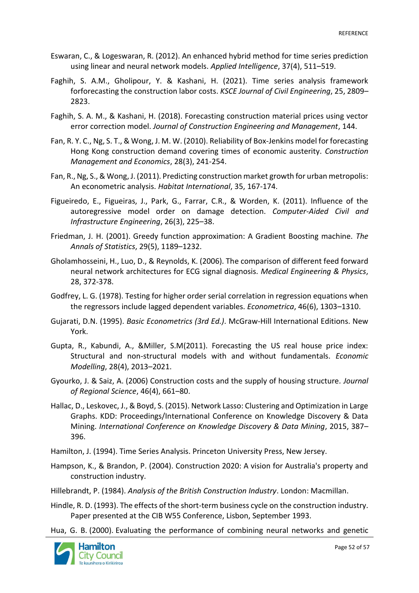- Eswaran, C., & Logeswaran, R. (2012). An enhanced hybrid method for time series prediction using linear and neural network models. *Applied Intelligence*, 37(4), 511–519.
- Faghih, S. A.M., Gholipour, Y. & Kashani, H. (2021). Time series analysis framework forforecasting the construction labor costs. *KSCE Journal of Civil Engineering*, 25, 2809– 2823.
- Faghih, S. A. M., & Kashani, H. (2018). Forecasting construction material prices using vector error correction model. *Journal of Construction Engineering and Management*, 144.
- Fan, R. Y. C., Ng, S. T., & Wong, J. M. W. (2010). Reliability of Box-Jenkins model for forecasting Hong Kong construction demand covering times of economic austerity. *Construction Management and Economics*, 28(3), 241-254.
- Fan, R., Ng, S., & Wong, J. (2011). Predicting construction market growth for urban metropolis: An econometric analysis. *Habitat International*, 35, 167-174.
- Figueiredo, E., Figueiras, J., Park, G., Farrar, C.R., & Worden, K. (2011). Influence of the autoregressive model order on damage detection. *Computer-Aided Civil and Infrastructure Engineering*, 26(3), 225–38.
- Friedman, J. H. (2001). Greedy function approximation: A Gradient Boosting machine. *The Annals of Statistics*, 29(5), 1189–1232.
- Gholamhosseini, H., Luo, D., & Reynolds, K. (2006). The comparison of different feed forward neural network architectures for ECG signal diagnosis. *Medical Engineering & Physics*, 28, 372-378.
- Godfrey, L. G. (1978). Testing for higher order serial correlation in regression equations when the regressors include lagged dependent variables. *Econometrica*, 46(6), 1303–1310.
- Gujarati, D.N. (1995). *Basic Econometrics (3rd Ed.)*. McGraw-Hill International Editions. New York.
- Gupta, R., Kabundi, A., &Miller, S.M(2011). Forecasting the US real house price index: Structural and non-structural models with and without fundamentals. *Economic Modelling*, 28(4), 2013–2021.
- Gyourko, J. & Saiz, A. (2006) Construction costs and the supply of housing structure*. Journal of Regional Science*, 46(4), 661–80.
- Hallac, D., Leskovec, J., & Boyd, S. (2015). Network Lasso: Clustering and Optimization in Large Graphs. KDD: Proceedings/International Conference on Knowledge Discovery & Data Mining. *International Conference on Knowledge Discovery & Data Mining*, 2015, 387– 396.
- Hamilton, J. (1994). Time Series Analysis. Princeton University Press, New Jersey.
- Hampson, K., & Brandon, P. (2004). Construction 2020: A vision for Australia's property and construction industry.

Hillebrandt, P. (1984). *Analysis of the British Construction Industry*. London: Macmillan.

- Hindle, R. D. (1993). The effects of the short-term business cycle on the construction industry. Paper presented at the CIB W55 Conference, Lisbon, September 1993.
- Hua, G. B. (2000). Evaluating the performance of combining neural networks and genetic

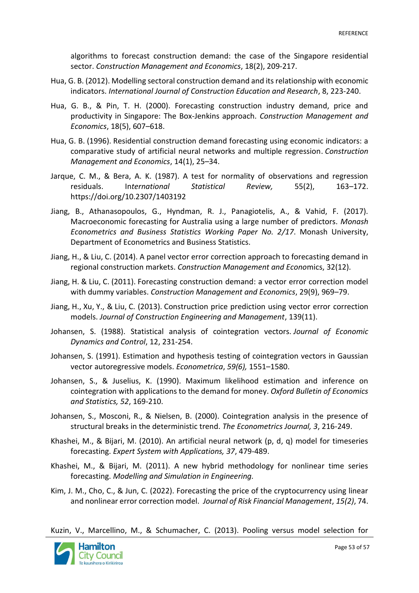algorithms to forecast construction demand: the case of the Singapore residential sector. *Construction Management and Economics*, 18(2), 209-217.

- Hua, G. B. (2012). Modelling sectoral construction demand and its relationship with economic indicators. *International Journal of Construction Education and Research*, 8, 223-240.
- Hua, G. B., & Pin, T. H. (2000). Forecasting construction industry demand, price and productivity in Singapore: The Box-Jenkins approach. *Construction Management and Economics*, 18(5), 607–618.
- Hua, G. B. (1996). Residential construction demand forecasting using economic indicators: a comparative study of artificial neural networks and multiple regression. *Construction Management and Economics*, 14(1), 25–34.
- Jarque, C. M., & Bera, A. K. (1987). A test for normality of observations and regression residuals. In*ternational Statistical Review,* 55(2), 163–172. <https://doi.org/10.2307/1403192>
- Jiang, B., Athanasopoulos, G., Hyndman, R. J., Panagiotelis, A., & Vahid, F. (2017). Macroeconomic forecasting for Australia using a large number of predictors. *Monash Econometrics and Business Statistics Working Paper No. 2/17*. Monash University, Department of Econometrics and Business Statistics.
- Jiang, H., & Liu, C. (2014). A panel vector error correction approach to forecasting demand in regional construction markets. *Construction Management and Econo*mics, 32(12).
- Jiang, H. & Liu, C. (2011). Forecasting construction demand: a vector error correction model with dummy variables. *Construction Management and Economics*, 29(9), 969–79.
- Jiang, H., Xu, Y., & Liu, C. (2013). Construction price prediction using vector error correction models. *Journal of Construction Engineering and Management*, 139(11).
- Johansen, S. (1988). Statistical analysis of cointegration vectors. *Journal of Economic Dynamics and Control*, 12, 231-254.
- Johansen, S. (1991). Estimation and hypothesis testing of cointegration vectors in Gaussian vector autoregressive models. *Econometrica*, *59(6),* 1551–1580.
- Johansen, S., & Juselius, K. (1990). Maximum likelihood estimation and inference on cointegration with applications to the demand for money. *Oxford Bulletin of Economics and Statistics, 52*, 169-210.
- Johansen, S., Mosconi, R., & Nielsen, B. (2000). Cointegration analysis in the presence of structural breaks in the deterministic trend. *The Econometrics Journal, 3*, 216-249.
- Khashei, M., & Bijari, M. (2010). An artificial neural network (p, d, q) model for timeseries forecasting. *Expert System with Applications, 37*, 479-489.
- Khashei, M., & Bijari, M. (2011). A new hybrid methodology for nonlinear time series forecasting. *Modelling and Simulation in Engineering.*
- Kim, J. M., Cho, C., & Jun, C. (2022). Forecasting the price of the cryptocurrency using linear and nonlinear error correction model. *Journal of Risk Financial Management*, *15(2)*, 74.

Kuzin, V., Marcellino, M., & Schumacher, C. (2013). Pooling versus model selection for

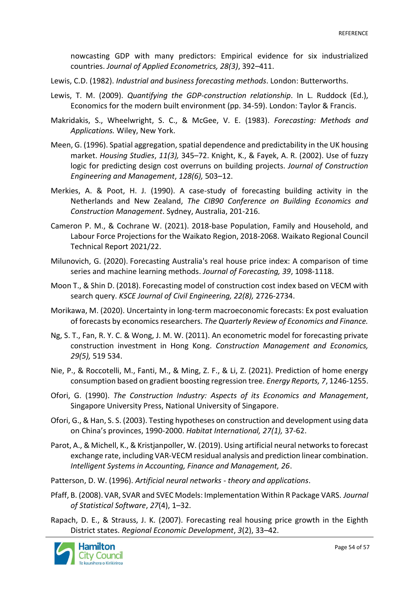nowcasting GDP with many predictors: Empirical evidence for six industrialized countries. *Journal of Applied Econometrics, 28(3)*, 392–411.

- Lewis, C.D. (1982). *Industrial and business forecasting methods*. London: Butterworths.
- Lewis, T. M. (2009). *Quantifying the GDP-construction relationship*. In L. Ruddock (Ed.), Economics for the modern built environment (pp. 34-59). London: Taylor & Francis.
- Makridakis, S., Wheelwright, S. C., & McGee, V. E. (1983). *Forecasting: Methods and Applications.* Wiley, New York.
- Meen, G. (1996). Spatial aggregation, spatial dependence and predictability in the UK housing market. *Housing Studies*, *11(3),* 345–72. Knight, K., & Fayek, A. R. (2002). Use of fuzzy logic for predicting design cost overruns on building projects. *Journal of Construction Engineering and Management*, *128(6),* 503–12.
- Merkies, A. & Poot, H. J. (1990). A case-study of forecasting building activity in the Netherlands and New Zealand, *The CIB90 Conference on Building Economics and Construction Management*. Sydney, Australia, 201-216.
- Cameron P. M., & Cochrane W. (2021). 2018-base Population, Family and Household, and Labour Force Projections for the Waikato Region, 2018-2068. Waikato Regional Council Technical Report 2021/22.
- Milunovich, G. (2020). Forecasting Australia's real house price index: A comparison of time series and machine learning methods. *Journal of Forecasting, 39*, 1098-1118.
- Moon T., & Shin D. (2018). Forecasting model of construction cost index based on VECM with search query. *KSCE Journal of Civil Engineering, 22(8),* 2726-2734.
- Morikawa, M. (2020). Uncertainty in long-term macroeconomic forecasts: Ex post evaluation of forecasts by economics researchers. *The Quarterly Review of Economics and Finance.*
- Ng, S. T., Fan, R. Y. C. & Wong, J. M. W. (2011). An econometric model for forecasting private construction investment in Hong Kong. *Construction Management and Economics, 29(5),* 519 534.
- Nie, P., & Roccotelli, M., Fanti, M., & Ming, Z. F., & Li, Z. (2021). Prediction of home energy consumption based on gradient boosting regression tree. *Energy Reports, 7*, 1246-1255.
- Ofori, G. (1990). *The Construction Industry: Aspects of its Economics and Management*, Singapore University Press, National University of Singapore.
- Ofori, G., & Han, S. S. (2003). Testing hypotheses on construction and development using data on China's provinces, 1990-2000. *Habitat International, 27(1),* 37-62.
- Parot, A., & Michell, K., & Kristjanpoller, W. (2019). Using artificial neural networks to forecast exchange rate, including VAR‐VECM residual analysis and prediction linear combination. *Intelligent Systems in Accounting, Finance and Management, 26*.
- Patterson, D. W. (1996). *Artificial neural networks - theory and applications*.
- Pfaff, B. (2008). VAR, SVAR and SVEC Models: Implementation Within R Package VARS. *Journal of Statistical Software*, *27*(4), 1–32.
- Rapach, D. E., & Strauss, J. K. (2007). Forecasting real housing price growth in the Eighth District states. *Regional Economic Development*, *3*(2), 33–42.

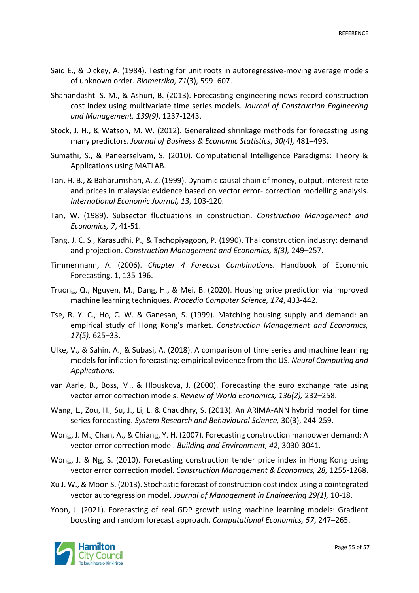- Said E., & Dickey, A. (1984). Testing for unit roots in autoregressive-moving average models of unknown order. *Biometrika*, *71*(3), 599–607.
- Shahandashti S. M., & Ashuri, B. (2013). Forecasting engineering news-record construction cost index using multivariate time series models. *Journal of Construction Engineering and Management, 139(9)*, 1237-1243.
- Stock, J. H., & Watson, M. W. (2012). Generalized shrinkage methods for forecasting using many predictors. *Journal of Business & Economic Statistics*, *30(4),* 481–493.
- Sumathi, S., & Paneerselvam, S. (2010). Computational Intelligence Paradigms: Theory & Applications using MATLAB.
- Tan, H. B., & Baharumshah, A. Z. (1999). Dynamic causal chain of money, output, interest rate and prices in malaysia: evidence based on vector error- correction modelling analysis. *International Economic Journal, 13,* 103-120.
- Tan, W. (1989). Subsector fluctuations in construction. *Construction Management and Economics, 7*, 41-51.
- Tang, J. C. S., Karasudhi, P., & Tachopiyagoon, P. (1990). Thai construction industry: demand and projection. *Construction Management and Economics, 8(3),* 249–257.
- Timmermann, A. (2006). *Chapter 4 Forecast Combinations.* Handbook of Economic Forecasting, 1, 135-196.
- Truong, Q., Nguyen, M., Dang, H., & Mei, B. (2020). Housing price prediction via improved machine learning techniques. *Procedia Computer Science, 174*, 433-442.
- Tse, R. Y. C., Ho, C. W. & Ganesan, S. (1999). Matching housing supply and demand: an empirical study of Hong Kong's market. *Construction Management and Economics, 17(5),* 625–33.
- Ulke, V., & Sahin, A., & Subasi, A. (2018). A comparison of time series and machine learning models for inflation forecasting: empirical evidence from the US. *Neural Computing and Applications*.
- van Aarle, B., Boss, M., & Hlouskova, J. (2000). Forecasting the euro exchange rate using vector error correction models. *Review of World Economics, 136(2),* 232–258.
- Wang, L., Zou, H., Su, J., Li, L. & Chaudhry, S. (2013). An ARIMA-ANN hybrid model for time series forecasting. *System Research and Behavioural Science,* 30(3), 244-259.
- Wong, J. M., Chan, A., & Chiang, Y. H. (2007). Forecasting construction manpower demand: A vector error correction model. *Building and Environment, 42*, 3030-3041.
- Wong, J. & Ng, S. (2010). Forecasting construction tender price index in Hong Kong using vector error correction model. *Construction Management & Economics, 28,* 1255-1268.
- Xu J. W., & Moon S. (2013). Stochastic forecast of construction cost index using a cointegrated vector autoregression model. *Journal of Management in Engineering 29(1),* 10-18.
- Yoon, J. (2021). Forecasting of real GDP growth using machine learning models: Gradient boosting and random forecast approach. *Computational Economics, 57*, 247–265.

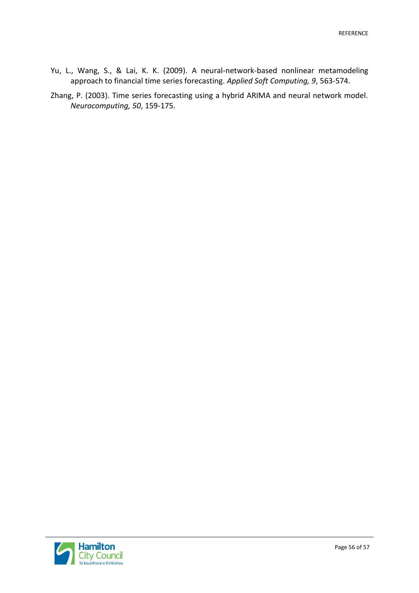- Yu, L., Wang, S., & Lai, K. K. (2009). A neural-network-based nonlinear metamodeling approach to financial time series forecasting. *Applied Soft Computing, 9*, 563-574.
- Zhang, P. (2003). Time series forecasting using a hybrid ARIMA and neural network model. *Neurocomputing, 50*, 159-175.

**Hamilton**<br>City Council<br>Te kaunihera o Kirikiriroa